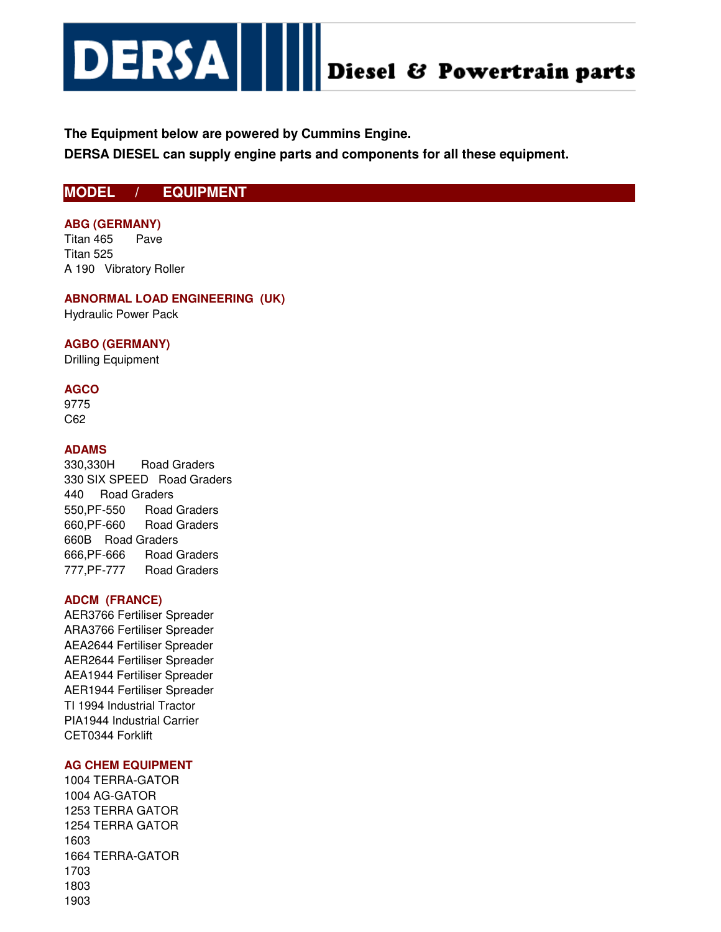

# **The Equipment below are powered by Cummins Engine.**

**DERSA DIESEL can supply engine parts and components for all these equipment.**

# **MODEL / EQUIPMENT**

## **ABG (GERMANY)**

Titan 465 Pave Titan 525 A 190 Vibratory Roller

# **ABNORMAL LOAD ENGINEERING (UK)**

Hydraulic Power Pack

## **AGBO (GERMANY)**

Drilling Equipment

## **AGCO**

9775 C62

## **ADAMS**

330,330H Road Graders 330 SIX SPEED Road Graders 440 Road Graders 550,PF-550 Road Graders 660,PF-660 Road Graders 660B Road Graders 666,PF-666 Road Graders 777,PF-777 Road Graders

## **ADCM (FRANCE)**

AER3766 Fertiliser Spreader ARA3766 Fertiliser Spreader AEA2644 Fertiliser Spreader AER2644 Fertiliser Spreader AEA1944 Fertiliser Spreader AER1944 Fertiliser Spreader TI 1994 Industrial Tractor PIA1944 Industrial Carrier CET0344 Forklift

## **AG CHEM EQUIPMENT**

1004 TERRA-GATOR 1004 AG-GATOR 1253 TERRA GATOR 1254 TERRA GATOR 1603 1664 TERRA-GATOR 1703 1803 1903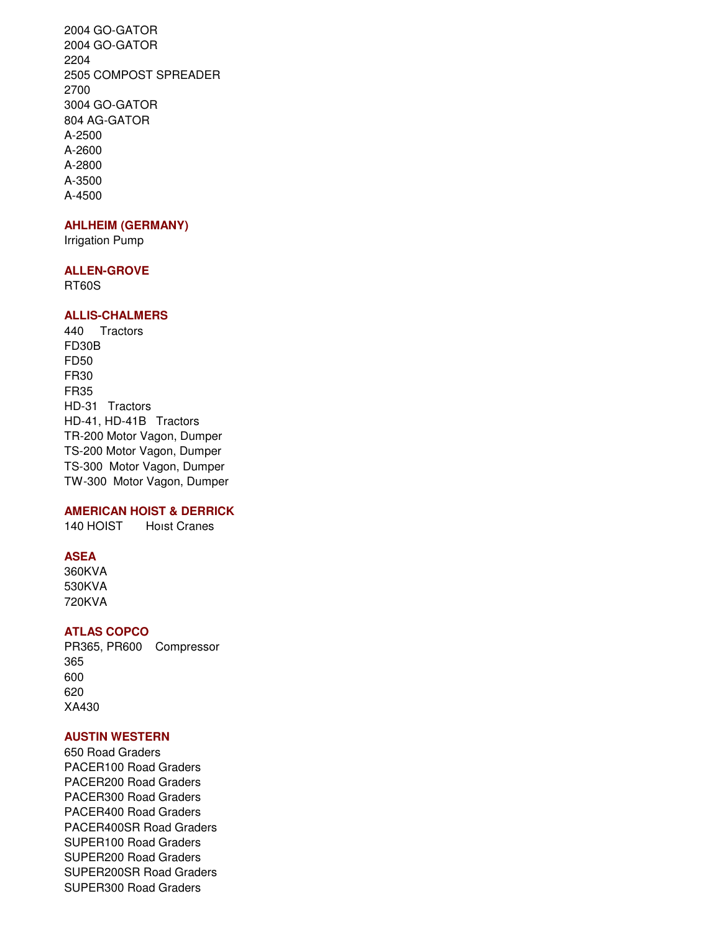2004 GO-GATOR 2004 GO-GATOR 2204 2505 COMPOST SPREADER 2700 3004 GO-GATOR 804 AG-GATOR A-2500 A-2600 A-2800 A-3500 A-4500

### **AHLHEIM (GERMANY)**

Irrigation Pump

#### **ALLEN-GROVE**

RT60S

## **ALLIS-CHALMERS**

440 Tractors FD30B FD50 FR30 FR35 HD-31 Tractors HD-41, HD-41B Tractors TR-200 Motor Vagon, Dumper TS-200 Motor Vagon, Dumper TS-300 Motor Vagon, Dumper TW-300 Motor Vagon, Dumper

## **AMERICAN HOIST & DERRICK**

140 HOIST Hoist Cranes

## **ASEA**

360KVA 530KVA 720KVA

## **ATLAS COPCO**

PR365, PR600 Compressor 365 600 620 XA430

## **AUSTIN WESTERN**

650 Road Graders PACER100 Road Graders PACER200 Road Graders PACER300 Road Graders PACER400 Road Graders PACER400SR Road Graders SUPER100 Road Graders SUPER200 Road Graders SUPER200SR Road Graders SUPER300 Road Graders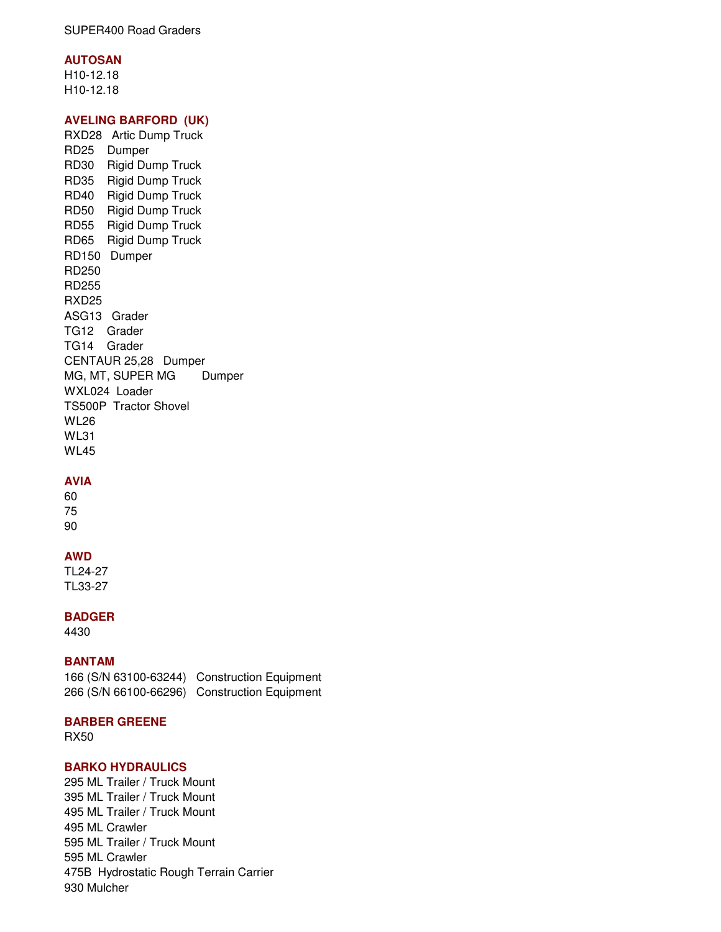## **AUTOSAN**

H10-12.18 H10-12.18

## **AVELING BARFORD (UK)**

RXD28 Artic Dump Truck RD25 Dumper RD30 Rigid Dump Truck RD35 Rigid Dump Truck RD40 Rigid Dump Truck RD50 Rigid Dump Truck RD55 Rigid Dump Truck RD65 Rigid Dump Truck RD150 Dumper RD250 RD255 RXD25 ASG13 Grader TG12 Grader TG14 Grader CENTAUR 25,28 Dumper MG, MT, SUPER MG Dumper WXL024 Loader TS500P Tractor Shovel WL26 WL31 WL45

## **AVIA**

60 75 90

### **AWD**

TL24-27 TL33-27

**BADGER**

4430

## **BANTAM**

166 (S/N 63100-63244) Construction Equipment 266 (S/N 66100-66296) Construction Equipment

## **BARBER GREENE**

RX50

## **BARKO HYDRAULICS**

295 ML Trailer / Truck Mount 395 ML Trailer / Truck Mount 495 ML Trailer / Truck Mount 495 ML Crawler 595 ML Trailer / Truck Mount 595 ML Crawler 475B Hydrostatic Rough Terrain Carrier 930 Mulcher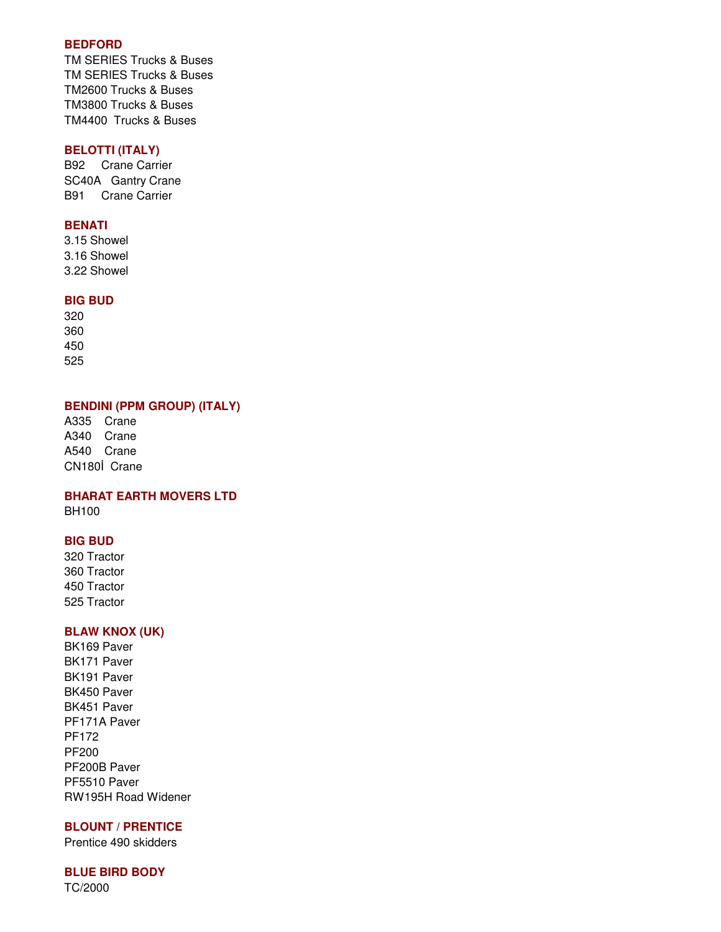## **BEDFORD**

TM SERIES Trucks & Buses TM SERIES Trucks & Buses TM2600 Trucks & Buses TM3800 Trucks & Buses TM4400 Trucks & Buses

## **BELOTTI (ITALY)**

B92 Crane Carrier SC40A Gantry Crane B91 Crane Carrier

## **BENATI**

3.15 Showel 3.16 Showel 3.22 Showel

## **BIG BUD**

## **BENDINI (PPM GROUP) (ITALY)**

A335 Crane A340 Crane A540 Crane CN180İ Crane

**BHARAT EARTH MOVERS LTD** BH100

## **BIG BUD**

320 Tractor 360 Tractor 450 Tractor 525 Tractor

## **BLAW KNOX (UK)**

BK169 Paver BK171 Paver BK191 Paver BK450 Paver BK451 Paver PF171A Paver PF172 PF200 PF200B Paver PF5510 Paver RW195H Road Widener

## **BLOUNT / PRENTICE**

Prentice 490 skidders

## **BLUE BIRD BODY**

TC/2000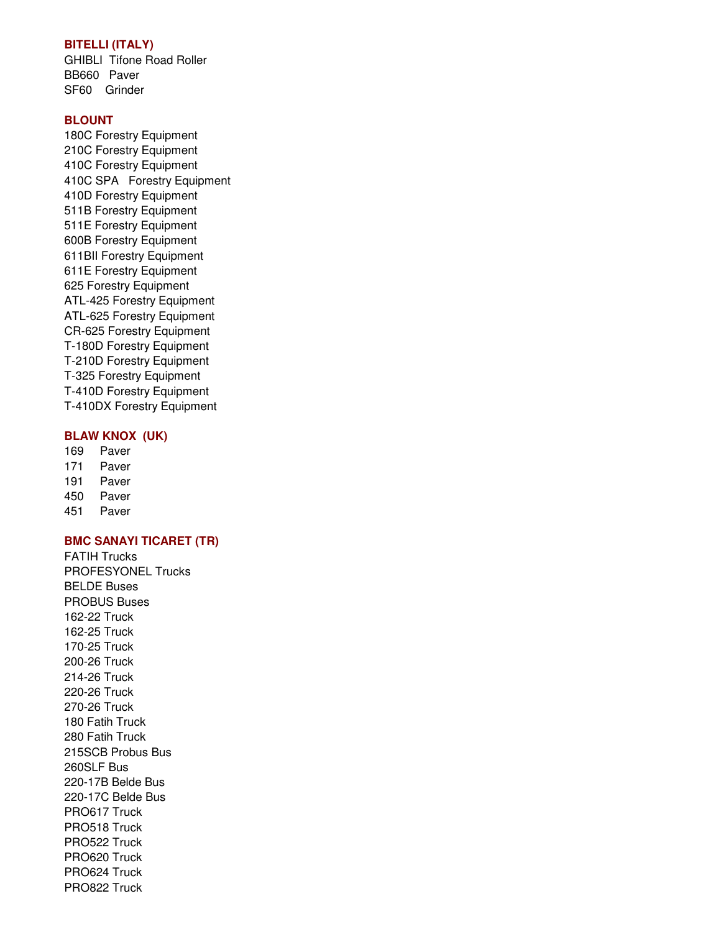## **BITELLI (ITALY)**

GHIBLI Tifone Road Roller BB660 Paver SF60 Grinder

### **BLOUNT**

180C Forestry Equipment 210C Forestry Equipment 410C Forestry Equipment 410C SPA Forestry Equipment 410D Forestry Equipment 511B Forestry Equipment 511E Forestry Equipment 600B Forestry Equipment 611BII Forestry Equipment 611E Forestry Equipment 625 Forestry Equipment ATL-425 Forestry Equipment ATL-625 Forestry Equipment CR-625 Forestry Equipment T-180D Forestry Equipment T-210D Forestry Equipment T-325 Forestry Equipment T-410D Forestry Equipment T-410DX Forestry Equipment

## **BLAW KNOX (UK)**

- 169 Paver 171 Paver
- 191 Paver
- 450 Paver
- 451 Paver

## **BMC SANAYI TICARET (TR)**

FATIH Trucks PROFESYONEL Trucks BELDE Buses PROBUS Buses 162-22 Truck 162-25 Truck 170-25 Truck 200-26 Truck 214-26 Truck 220-26 Truck 270-26 Truck 180 Fatih Truck 280 Fatih Truck 215SCB Probus Bus 260SLF Bus 220-17B Belde Bus 220-17C Belde Bus PRO617 Truck PRO518 Truck PRO522 Truck PRO620 Truck PRO624 Truck PRO822 Truck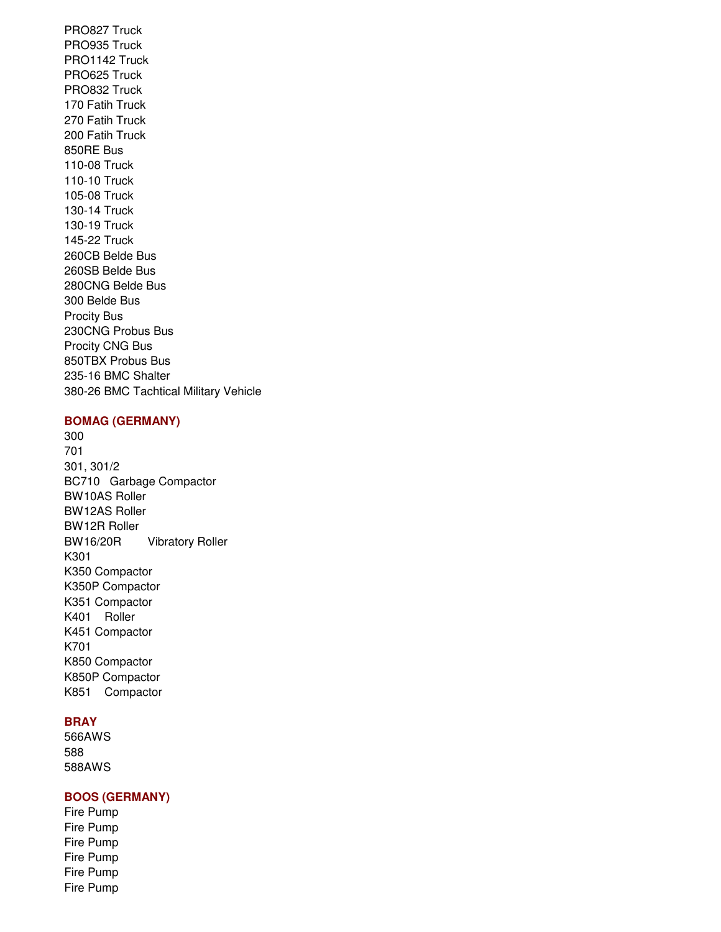PRO827 Truck PRO935 Truck PRO1142 Truck PRO625 Truck PRO832 Truck 170 Fatih Truck 270 Fatih Truck 200 Fatih Truck 850RE Bus 110-08 Truck 110-10 Truck 105-08 Truck 130-14 Truck 130-19 Truck 145-22 Truck 260CB Belde Bus 260SB Belde Bus 280CNG Belde Bus 300 Belde Bus Procity Bus 230CNG Probus Bus Procity CNG Bus 850TBX Probus Bus 235-16 BMC Shalter 380-26 BMC Tachtical Military Vehicle

## **BOMAG (GERMANY)**

300 701 301, 301/2 BC710 Garbage Compactor BW10AS Roller BW12AS Roller BW12R Roller BW16/20R Vibratory Roller K301 K350 Compactor K350P Compactor K351 Compactor K401 Roller K451 Compactor K701 K850 Compactor K850P Compactor K851 Compactor

## **BRAY**

566AWS 588 588AWS

## **BOOS (GERMANY)**

Fire Pump Fire Pump Fire Pump Fire Pump Fire Pump Fire Pump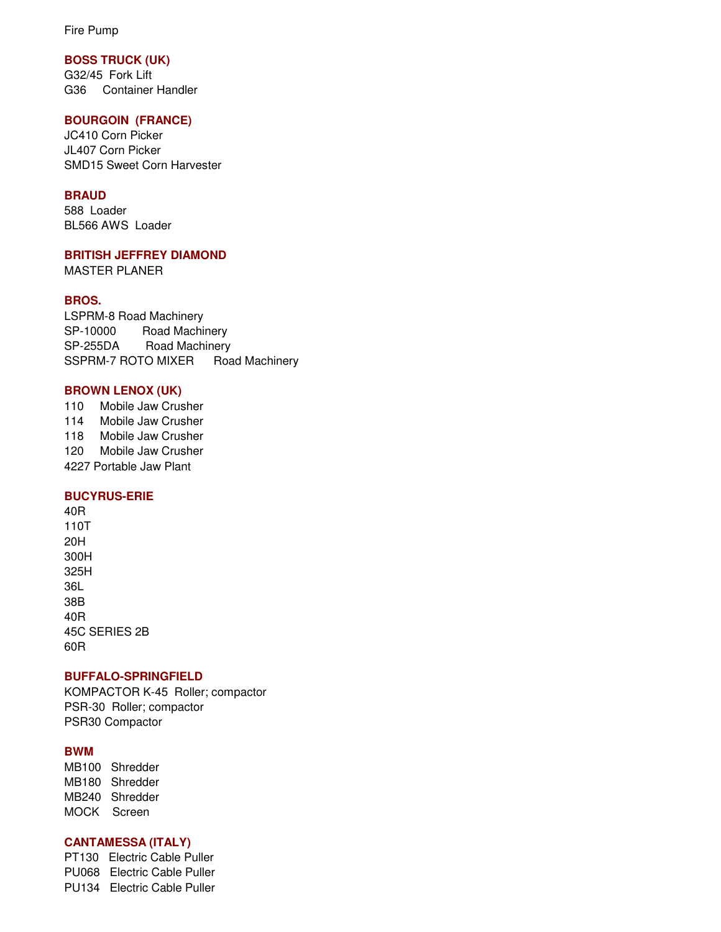Fire Pump

## **BOSS TRUCK (UK)**

G32/45 Fork Lift G36 Container Handler

## **BOURGOIN (FRANCE)**

JC410 Corn Picker JL407 Corn Picker SMD15 Sweet Corn Harvester

## **BRAUD**

588 Loader BL566 AWS Loader

### **BRITISH JEFFREY DIAMOND**

MASTER PLANER

## **BROS.**

LSPRM-8 Road Machinery SP-10000 Road Machinery SP-255DA Road Machinery SSPRM-7 ROTO MIXER Road Machinery

### **BROWN LENOX (UK)**

110 Mobile Jaw Crusher 114 Mobile Jaw Crusher 118 Mobile Jaw Crusher 120 Mobile Jaw Crusher 4227 Portable Jaw Plant

## **BUCYRUS-ERIE**

40R 110T 20H 300H 325H 36L 38B 40R 45C SERIES 2B 60R

### **BUFFALO-SPRINGFIELD**

KOMPACTOR K-45 Roller; compactor PSR-30 Roller; compactor PSR30 Compactor

## **BWM**

MB100 Shredder MB180 Shredder MB240 Shredder MOCK Screen

## **CANTAMESSA (ITALY)**

PT130 Electric Cable Puller PU068 Electric Cable Puller PU134 Electric Cable Puller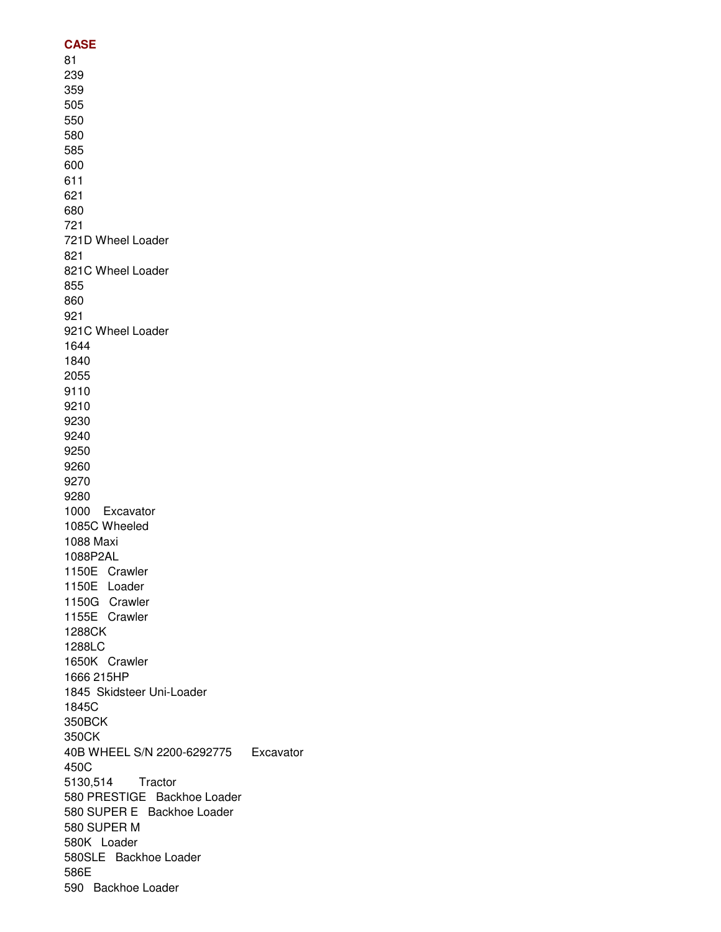## **CASE** 81 239 359 505 550 580 585 600 611 621 680 721 721D Wheel Loader 821 821C Wheel Loader 855 860 921 921C Wheel Loader 1644 1840 2055 9110 9210 9230 9240 9250 9260 9270 9280 1000 Excavator 1085C Wheeled 1088 Maxi 1088P2AL 1150E Crawler 1150E Loader 1150G Crawler 1155E Crawler 1288CK 1288LC 1650K Crawler 1666 215HP 1845 Skidsteer Uni-Loader 1845C 350BCK 350CK 40B WHEEL S/N 2200-6292775 Excavator 450C 5130,514 Tractor 580 PRESTIGE Backhoe Loader 580 SUPER E Backhoe Loader 580 SUPER M 580K Loader 580SLE Backhoe Loader 586E 590 Backhoe Loader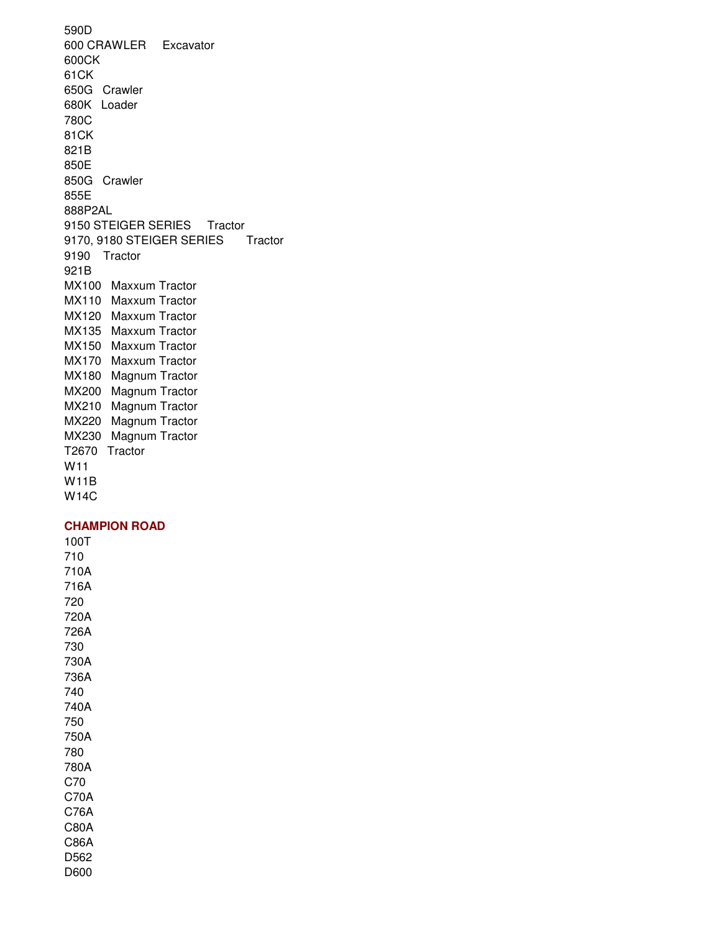590D 600 CRAWLER Excavator 600CK 61CK 650G Crawler 680K Loader 780C 81CK 821B 850E 850G Crawler 855E 888P2AL 9150 STEIGER SERIES Tractor 9170, 9180 STEIGER SERIES Tractor 9190 Tractor 921B MX100 Maxxum Tractor MX110 Maxxum Tractor MX120 Maxxum Tractor MX135 Maxxum Tractor MX150 Maxxum Tractor MX170 Maxxum Tractor MX180 Magnum Tractor MX200 Magnum Tractor MX210 Magnum Tractor MX220 Magnum Tractor MX230 Magnum Tractor T2670 Tractor W11 W11B W14C

### **CHAMPION ROAD**

100T 710 710A 716A 720 720A 726A 730 730A 736A 740 740A 750 750A 780 780A C70 C70A C76A C80A C86A D562 D600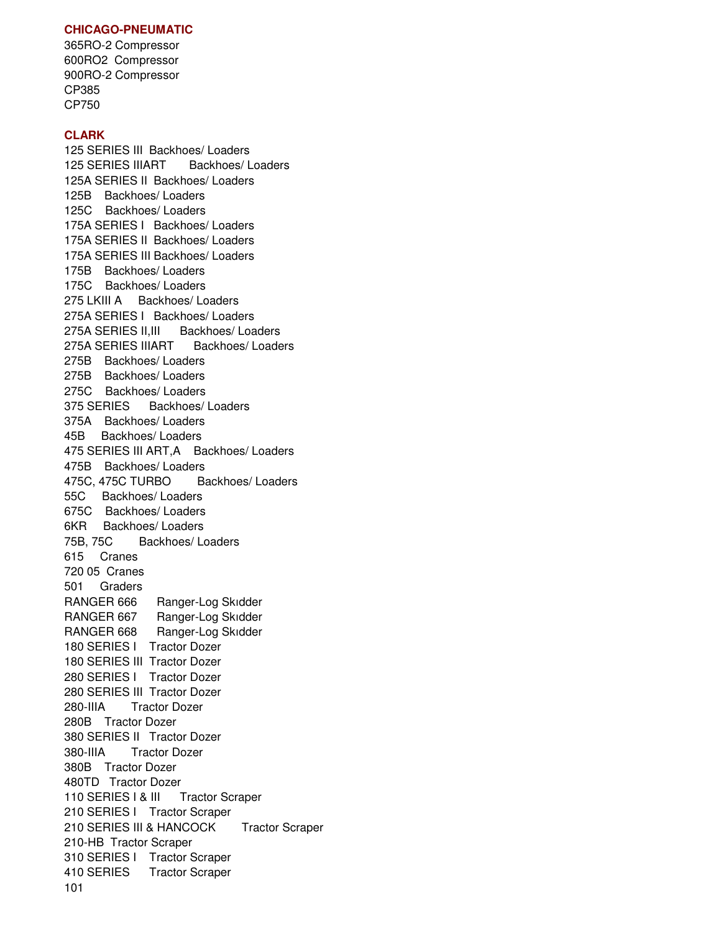## **CHICAGO-PNEUMATIC**

365RO-2 Compressor 600RO2 Compressor 900RO-2 Compressor CP385 CP750

## **CLARK**

125 SERIES III Backhoes/ Loaders 125 SERIES IIIART Backhoes/ Loaders 125A SERIES II Backhoes/ Loaders 125B Backhoes/ Loaders 125C Backhoes/ Loaders 175A SERIES I Backhoes/ Loaders 175A SERIES II Backhoes/ Loaders 175A SERIES III Backhoes/ Loaders 175B Backhoes/ Loaders 175C Backhoes/ Loaders 275 LKIII A Backhoes/ Loaders 275A SERIES I Backhoes/ Loaders 275A SERIES II, III Backhoes/ Loaders 275A SERIES IIIART Backhoes/ Loaders 275B Backhoes/ Loaders 275B Backhoes/ Loaders 275C Backhoes/ Loaders 375 SERIES Backhoes/ Loaders 375A Backhoes/ Loaders 45B Backhoes/ Loaders 475 SERIES III ART,A Backhoes/ Loaders 475B Backhoes/ Loaders 475C, 475C TURBO Backhoes/ Loaders 55C Backhoes/ Loaders 675C Backhoes/ Loaders 6KR Backhoes/ Loaders 75B, 75C Backhoes/ Loaders 615 Cranes 720 05 Cranes 501 Graders RANGER 666 Ranger-Log Skidder RANGER 667 Ranger-Log Skidder RANGER 668 Ranger-Log Skidder 180 SERIES I Tractor Dozer 180 SERIES III Tractor Dozer 280 SERIES I Tractor Dozer 280 SERIES III Tractor Dozer 280-IIIA Tractor Dozer 280B Tractor Dozer 380 SERIES II Tractor Dozer 380-IIIA Tractor Dozer 380B Tractor Dozer 480TD Tractor Dozer 110 SERIES | & III Tractor Scraper 210 SERIES I Tractor Scraper 210 SERIES III & HANCOCK Tractor Scraper 210-HB Tractor Scraper 310 SERIES I Tractor Scraper 410 SERIES Tractor Scraper 101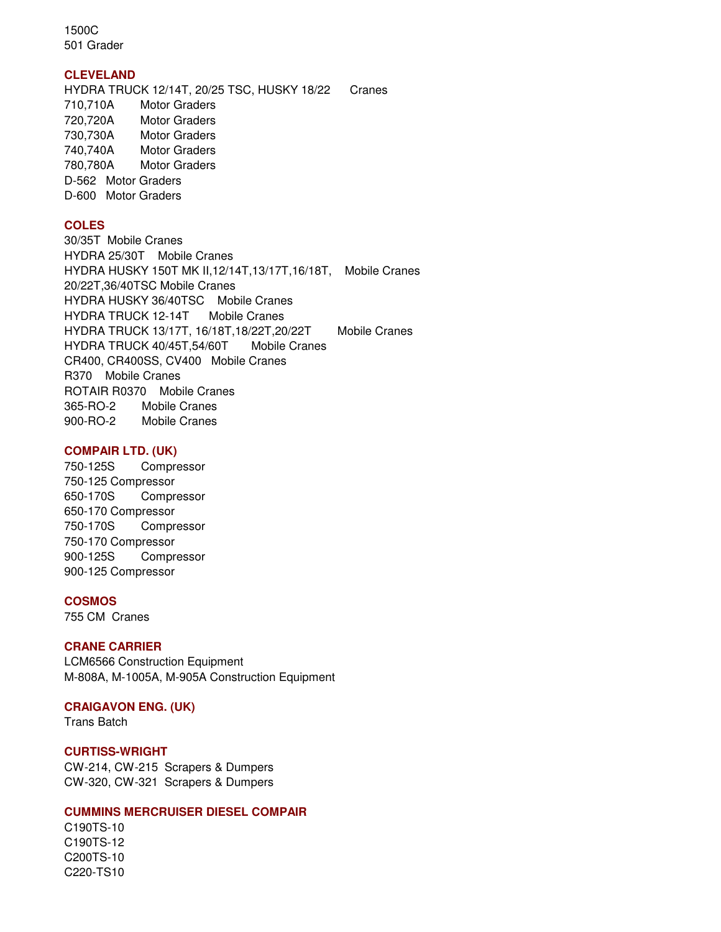1500C 501 Grader

### **CLEVELAND**

HYDRA TRUCK 12/14T, 20/25 TSC, HUSKY 18/22 Cranes 710,710A Motor Graders 720,720A Motor Graders 730,730A Motor Graders 740,740A Motor Graders 780,780A Motor Graders D-562 Motor Graders D-600 Motor Graders

## **COLES**

30/35T Mobile Cranes HYDRA 25/30T Mobile Cranes HYDRA HUSKY 150T MK II,12/14T,13/17T,16/18T, Mobile Cranes 20/22T,36/40TSC Mobile Cranes HYDRA HUSKY 36/40TSC Mobile Cranes HYDRA TRUCK 12-14T Mobile Cranes HYDRA TRUCK 13/17T, 16/18T,18/22T,20/22T Mobile Cranes HYDRA TRUCK 40/45T,54/60T Mobile Cranes CR400, CR400SS, CV400 Mobile Cranes R370 Mobile Cranes ROTAIR R0370 Mobile Cranes 365-RO-2 Mobile Cranes 900-RO-2 Mobile Cranes

### **COMPAIR LTD. (UK)**

750-125S Compressor 750-125 Compressor 650-170S Compressor 650-170 Compressor 750-170S Compressor 750-170 Compressor 900-125S Compressor 900-125 Compressor

## **COSMOS**

755 CM Cranes

### **CRANE CARRIER**

LCM6566 Construction Equipment M-808A, M-1005A, M-905A Construction Equipment

### **CRAIGAVON ENG. (UK)**

Trans Batch

### **CURTISS-WRIGHT**

CW-214, CW-215 Scrapers & Dumpers CW-320, CW-321 Scrapers & Dumpers

### **CUMMINS MERCRUISER DIESEL COMPAIR**

C190TS-10 C190TS-12 C200TS-10 C220-TS10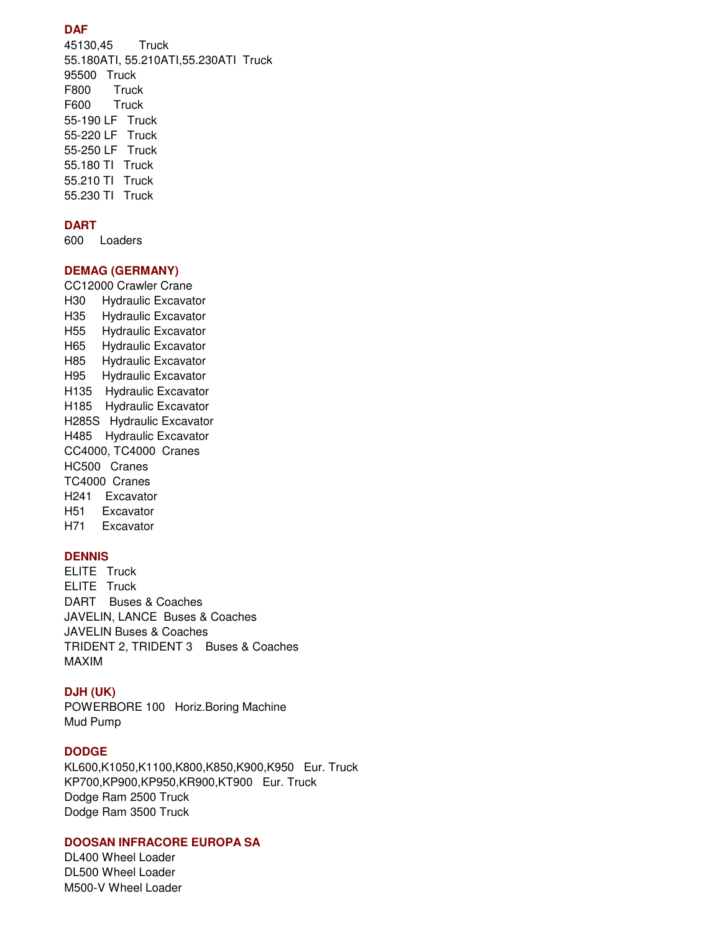## **DAF**

45130,45 Truck 55.180ATI, 55.210ATI,55.230ATI Truck 95500 Truck F800 Truck F600 Truck 55-190 LF Truck 55-220 LF Truck 55-250 LF Truck 55.180 TI Truck 55.210 TI Truck 55.230 TI Truck

## **DART**

600 Loaders

## **DEMAG (GERMANY)**

CC12000 Crawler Crane H30 Hydraulic Excavator H35 Hydraulic Excavator H55 Hydraulic Excavator H65 Hydraulic Excavator H85 Hydraulic Excavator H95 Hydraulic Excavator H135 Hydraulic Excavator H185 Hydraulic Excavator H285S Hydraulic Excavator H485 Hydraulic Excavator CC4000, TC4000 Cranes HC500 Cranes TC4000 Cranes H241 Excavator H51 Excavator H71 Excavator

### **DENNIS**

ELITE Truck ELITE Truck DART Buses & Coaches JAVELIN, LANCE Buses & Coaches JAVELIN Buses & Coaches TRIDENT 2, TRIDENT 3 Buses & Coaches MAXIM

### **DJH (UK)**

POWERBORE 100 Horiz.Boring Machine Mud Pump

#### **DODGE**

KL600,K1050,K1100,K800,K850,K900,K950 Eur. Truck KP700,KP900,KP950,KR900,KT900 Eur. Truck Dodge Ram 2500 Truck Dodge Ram 3500 Truck

## **DOOSAN INFRACORE EUROPA SA**

DL400 Wheel Loader DL500 Wheel Loader M500-V Wheel Loader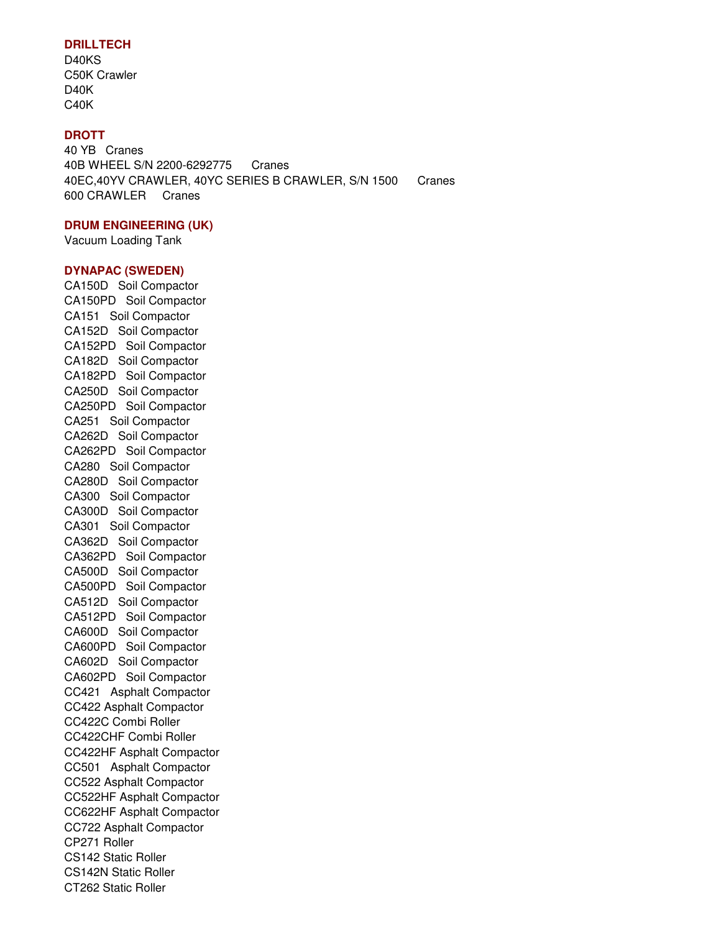## **DRILLTECH**

D40KS C50K Crawler D40K C40K

## **DROTT**

40 YB Cranes 40B WHEEL S/N 2200-6292775 Cranes 40EC,40YV CRAWLER, 40YC SERIES B CRAWLER, S/N 1500 Cranes 600 CRAWLER Cranes

#### **DRUM ENGINEERING (UK)**

Vacuum Loading Tank

#### **DYNAPAC (SWEDEN)**

CA150D Soil Compactor CA150PD Soil Compactor CA151 Soil Compactor CA152D Soil Compactor CA152PD Soil Compactor CA182D Soil Compactor CA182PD Soil Compactor CA250D Soil Compactor CA250PD Soil Compactor CA251 Soil Compactor CA262D Soil Compactor CA262PD Soil Compactor CA280 Soil Compactor CA280D Soil Compactor CA300 Soil Compactor CA300D Soil Compactor CA301 Soil Compactor CA362D Soil Compactor CA362PD Soil Compactor CA500D Soil Compactor CA500PD Soil Compactor CA512D Soil Compactor CA512PD Soil Compactor CA600D Soil Compactor CA600PD Soil Compactor CA602D Soil Compactor CA602PD Soil Compactor CC421 Asphalt Compactor CC422 Asphalt Compactor CC422C Combi Roller CC422CHF Combi Roller CC422HF Asphalt Compactor CC501 Asphalt Compactor CC522 Asphalt Compactor CC522HF Asphalt Compactor CC622HF Asphalt Compactor CC722 Asphalt Compactor CP271 Roller CS142 Static Roller CS142N Static Roller CT262 Static Roller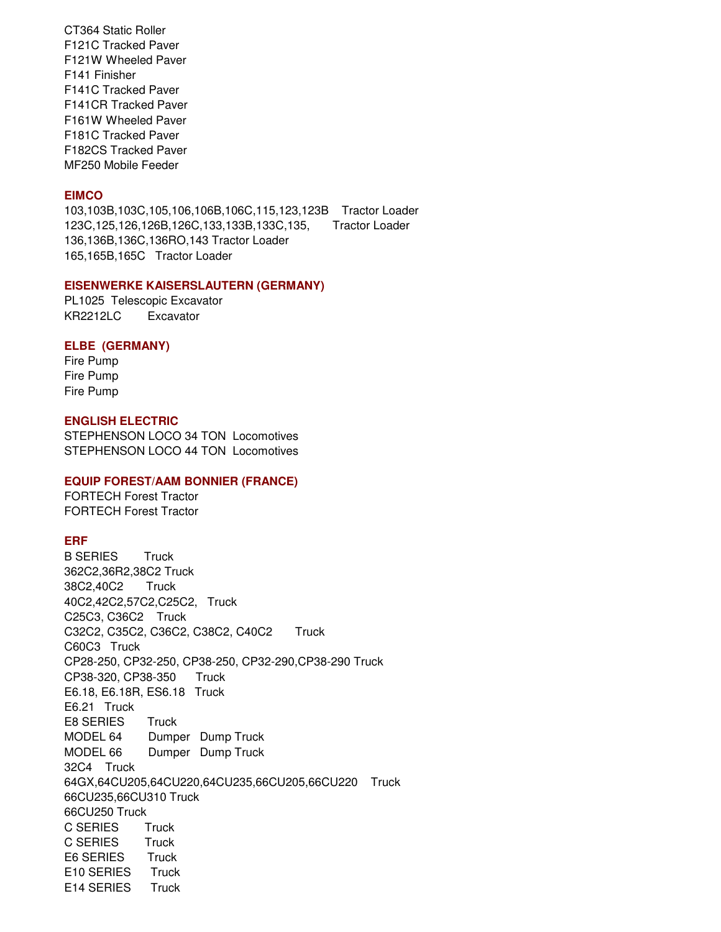CT364 Static Roller F121C Tracked Paver F121W Wheeled Paver F141 Finisher F141C Tracked Paver F141CR Tracked Paver F161W Wheeled Paver F181C Tracked Paver F182CS Tracked Paver MF250 Mobile Feeder

#### **EIMCO**

103,103B,103C,105,106,106B,106C,115,123,123B Tractor Loader 123C,125,126,126B,126C,133,133B,133C,135, Tractor Loader 136,136B,136C,136RO,143 Tractor Loader 165,165B,165C Tractor Loader

#### **EISENWERKE KAISERSLAUTERN (GERMANY)**

PL1025 Telescopic Excavator KR2212LC Excavator

#### **ELBE (GERMANY)**

Fire Pump Fire Pump Fire Pump

### **ENGLISH ELECTRIC**

STEPHENSON LOCO 34 TON Locomotives STEPHENSON LOCO 44 TON Locomotives

### **EQUIP FOREST/AAM BONNIER (FRANCE)**

FORTECH Forest Tractor FORTECH Forest Tractor

#### **ERF**

B SERIES Truck 362C2,36R2,38C2 Truck 38C2,40C2 Truck 40C2,42C2,57C2,C25C2, Truck C25C3, C36C2 Truck C32C2, C35C2, C36C2, C38C2, C40C2 Truck C60C3 Truck CP28-250, CP32-250, CP38-250, CP32-290,CP38-290 Truck CP38-320, CP38-350 Truck E6.18, E6.18R, ES6.18 Truck E6.21 Truck E8 SERIES Truck MODEL 64 Dumper Dump Truck MODEL 66 Dumper Dump Truck 32C4 Truck 64GX,64CU205,64CU220,64CU235,66CU205,66CU220 Truck 66CU235,66CU310 Truck 66CU250 Truck C SERIES Truck C SERIES Truck E6 SERIES Truck E10 SERIES Truck E14 SERIES Truck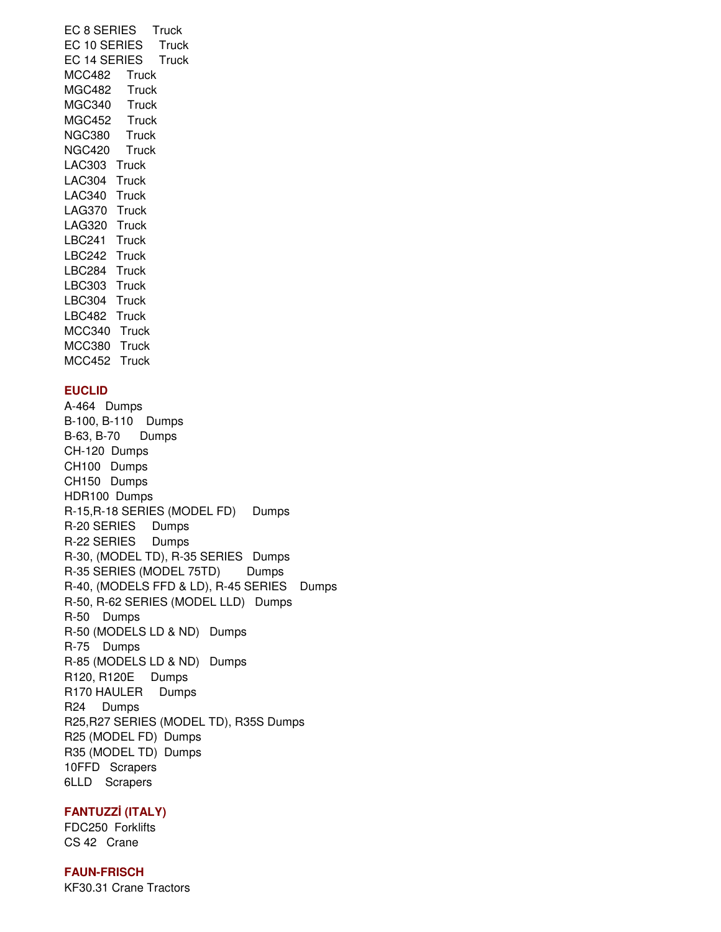EC 8 SERIES Truck EC 10 SERIES Truck EC 14 SERIES Truck MCC482 Truck MGC482 Truck MGC340 Truck MGC452 Truck NGC380 Truck NGC420 Truck LAC303 Truck LAC304 Truck LAC340 Truck LAG370 Truck LAG320 Truck LBC241 Truck LBC242 Truck LBC284 Truck LBC303 Truck LBC304 Truck LBC482 Truck MCC340 Truck MCC380 Truck MCC452 Truck

## **EUCLID**

A-464 Dumps B-100, B-110 Dumps B-63, B-70 Dumps CH-120 Dumps CH100 Dumps CH150 Dumps HDR100 Dumps R-15, R-18 SERIES (MODEL FD) Dumps R-20 SERIES Dumps R-22 SERIES Dumps R-30, (MODEL TD), R-35 SERIES Dumps R-35 SERIES (MODEL 75TD) Dumps R-40, (MODELS FFD & LD), R-45 SERIES Dumps R-50, R-62 SERIES (MODEL LLD) Dumps R-50 Dumps R-50 (MODELS LD & ND) Dumps R-75 Dumps R-85 (MODELS LD & ND) Dumps R120, R120E Dumps R170 HAULER Dumps R24 Dumps R25,R27 SERIES (MODEL TD), R35S Dumps R25 (MODEL FD) Dumps R35 (MODEL TD) Dumps 10FFD Scrapers 6LLD Scrapers

### **FANTUZZ**İ **(ITALY)**

FDC250 Forklifts CS 42 Crane

## **FAUN-FRISCH**

KF30.31 Crane Tractors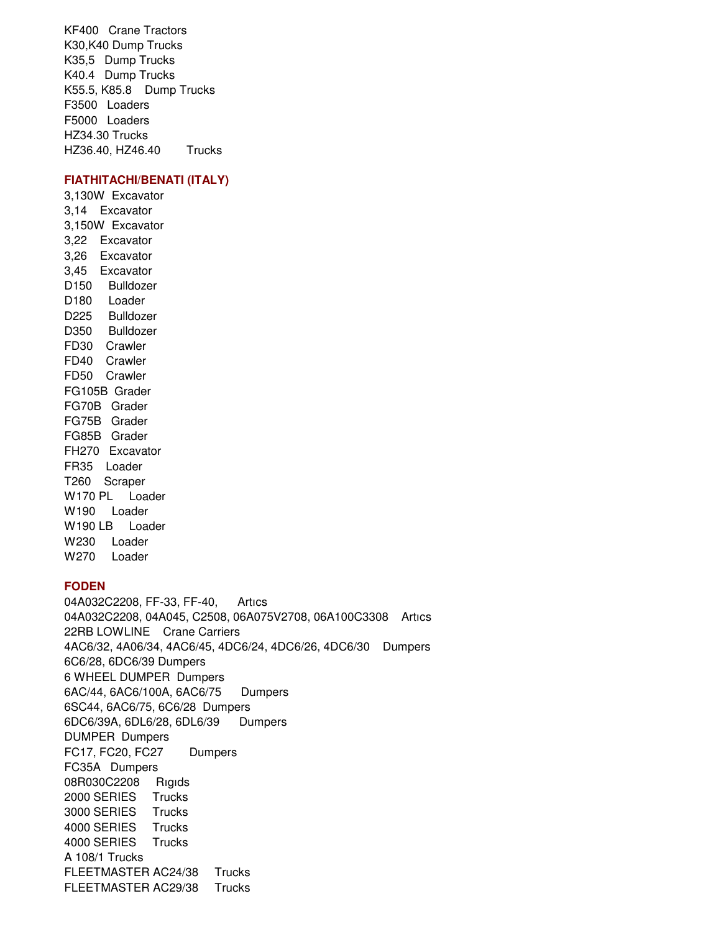KF400 Crane Tractors K30,K40 Dump Trucks K35,5 Dump Trucks K40.4 Dump Trucks K55.5, K85.8 Dump Trucks F3500 Loaders F5000 Loaders HZ34.30 Trucks HZ36.40, HZ46.40 Trucks

## **FIATHITACHI/BENATI (ITALY)**

3,130W Excavator 3,14 Excavator 3,150W Excavator 3,22 Excavator 3,26 Excavator 3,45 Excavator D150 Bulldozer D<sub>180</sub> Loader D225 Bulldozer D350 Bulldozer FD30 Crawler FD40 Crawler FD50 Crawler FG105B Grader FG70B Grader FG75B Grader FG85B Grader FH270 Excavator FR35 Loader T260 Scraper W170 PL Loader W190 Loader W190 LB Loader W230 Loader W270 Loader

#### **FODEN**

04A032C2208, FF-33, FF-40, Artıcs 04A032C2208, 04A045, C2508, 06A075V2708, 06A100C3308 Artıcs 22RB LOWLINE Crane Carriers 4AC6/32, 4A06/34, 4AC6/45, 4DC6/24, 4DC6/26, 4DC6/30 Dumpers 6C6/28, 6DC6/39 Dumpers 6 WHEEL DUMPER Dumpers 6AC/44, 6AC6/100A, 6AC6/75 Dumpers 6SC44, 6AC6/75, 6C6/28 Dumpers 6DC6/39A, 6DL6/28, 6DL6/39 Dumpers DUMPER Dumpers FC17, FC20, FC27 Dumpers FC35A Dumpers 08R030C2208 Rıgıds 2000 SERIES Trucks 3000 SERIES Trucks 4000 SERIES Trucks 4000 SERIES Trucks A 108/1 Trucks FLEETMASTER AC24/38 Trucks FLEETMASTER AC29/38 Trucks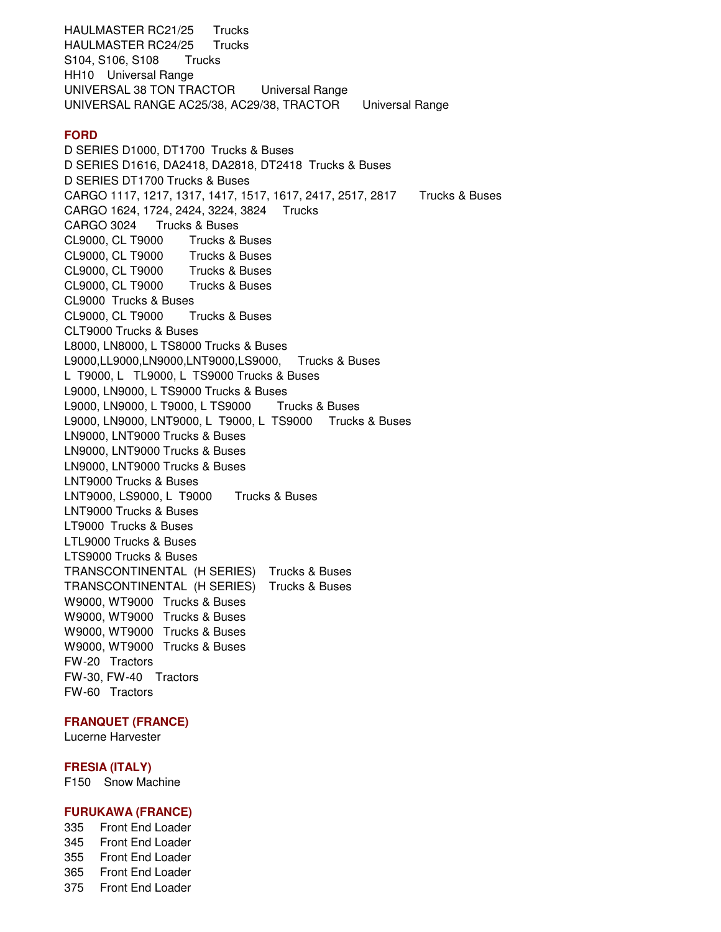HAULMASTER RC21/25 Trucks HAULMASTER RC24/25 Trucks S104, S106, S108 Trucks HH10 Universal Range UNIVERSAL 38 TON TRACTOR Universal Range UNIVERSAL RANGE AC25/38, AC29/38, TRACTOR Universal Range **FORD**  D SERIES D1000, DT1700 Trucks & Buses D SERIES D1616, DA2418, DA2818, DT2418 Trucks & Buses D SERIES DT1700 Trucks & Buses CARGO 1117, 1217, 1317, 1417, 1517, 1617, 2417, 2517, 2817 Trucks & Buses CARGO 1624, 1724, 2424, 3224, 3824 Trucks CARGO 3024 Trucks & Buses CL9000, CL T9000 Trucks & Buses CL9000, CL T9000 Trucks & Buses CL9000, CL T9000 Trucks & Buses CL9000, CL T9000 Trucks & Buses CL9000 Trucks & Buses CL9000, CL T9000 Trucks & Buses CLT9000 Trucks & Buses L8000, LN8000, L TS8000 Trucks & Buses L9000,LL9000,LN9000,LNT9000,LS9000, Trucks & Buses L T9000, L TL9000, L TS9000 Trucks & Buses L9000, LN9000, L TS9000 Trucks & Buses L9000, LN9000, L T9000, L TS9000 Trucks & Buses L9000, LN9000, LNT9000, L T9000, L TS9000 Trucks & Buses LN9000, LNT9000 Trucks & Buses LN9000, LNT9000 Trucks & Buses LN9000, LNT9000 Trucks & Buses LNT9000 Trucks & Buses LNT9000, LS9000, L T9000 Trucks & Buses LNT9000 Trucks & Buses LT9000 Trucks & Buses LTL9000 Trucks & Buses LTS9000 Trucks & Buses TRANSCONTINENTAL (H SERIES) Trucks & Buses TRANSCONTINENTAL (H SERIES) Trucks & Buses W9000, WT9000 Trucks & Buses W9000, WT9000 Trucks & Buses W9000, WT9000 Trucks & Buses W9000, WT9000 Trucks & Buses FW-20 Tractors FW-30, FW-40 Tractors FW-60 Tractors

### **FRANQUET (FRANCE)**

Lucerne Harvester

#### **FRESIA (ITALY)**

F150 Snow Machine

## **FURUKAWA (FRANCE)**

335 Front End Loader 345 Front End Loader 355 Front End Loader 365 Front End Loader 375 Front End Loader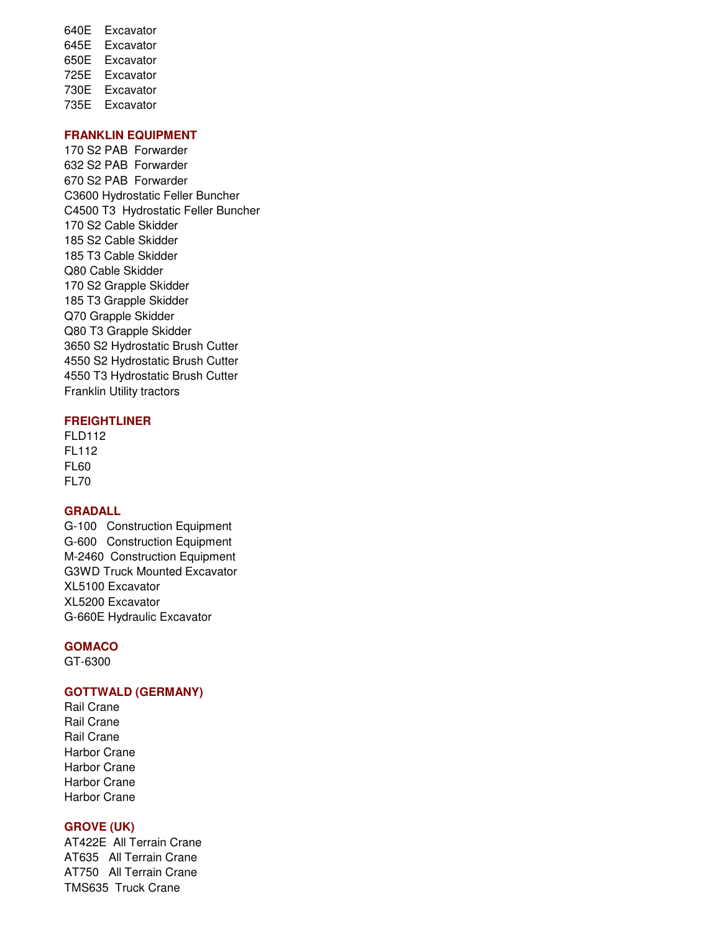640E Excavator 645E Excavator 650E Excavator 725E Excavator 730E Excavator 735E Excavator

## **FRANKLIN EQUIPMENT**

170 S2 PAB Forwarder 632 S2 PAB Forwarder 670 S2 PAB Forwarder C3600 Hydrostatic Feller Buncher C4500 T3 Hydrostatic Feller Buncher 170 S2 Cable Skidder 185 S2 Cable Skidder 185 T3 Cable Skidder Q80 Cable Skidder 170 S2 Grapple Skidder 185 T3 Grapple Skidder Q70 Grapple Skidder Q80 T3 Grapple Skidder 3650 S2 Hydrostatic Brush Cutter 4550 S2 Hydrostatic Brush Cutter 4550 T3 Hydrostatic Brush Cutter Franklin Utility tractors

## **FREIGHTLINER**

FLD112 FL112 FL60 FL70

## **GRADALL**

G-100 Construction Equipment G-600 Construction Equipment M-2460 Construction Equipment G3WD Truck Mounted Excavator XL5100 Excavator XL5200 Excavator G-660E Hydraulic Excavator

### **GOMACO**

GT-6300

### **GOTTWALD (GERMANY)**

Rail Crane Rail Crane Rail Crane Harbor Crane Harbor Crane Harbor Crane Harbor Crane

#### **GROVE (UK)**

AT422E All Terrain Crane AT635 All Terrain Crane AT750 All Terrain Crane TMS635 Truck Crane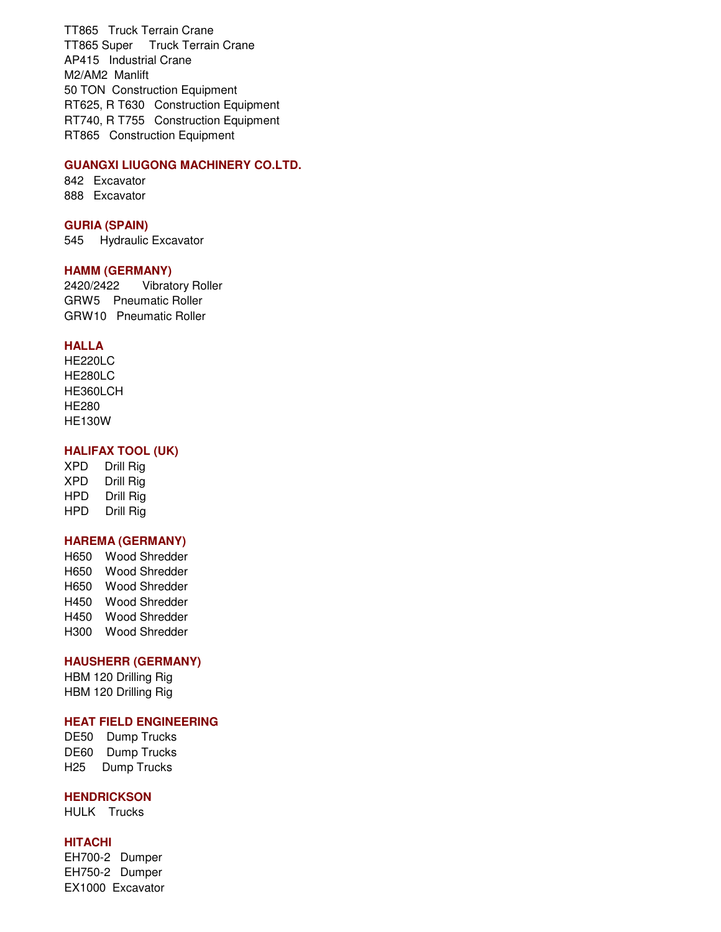TT865 Truck Terrain Crane TT865 Super Truck Terrain Crane AP415 Industrial Crane M2/AM2 Manlift 50 TON Construction Equipment RT625, R T630 Construction Equipment RT740, R T755 Construction Equipment RT865 Construction Equipment

### **GUANGXI LIUGONG MACHINERY CO.LTD.**

842 Excavator 888 Excavator

#### **GURIA (SPAIN)**

545 Hydraulic Excavator

#### **HAMM (GERMANY)**

2420/2422 Vibratory Roller GRW5 Pneumatic Roller GRW10 Pneumatic Roller

#### **HALLA**

HE220LC HE280LC HE360LCH HE280 HE130W

### **HALIFAX TOOL (UK)**

XPD Drill Rig XPD Drill Rig HPD Drill Rig HPD Drill Rig

### **HAREMA (GERMANY)**

H650 Wood Shredder H650 Wood Shredder H650 Wood Shredder H450 Wood Shredder H450 Wood Shredder H300 Wood Shredder

## **HAUSHERR (GERMANY)**

HBM 120 Drilling Rig HBM 120 Drilling Rig

## **HEAT FIELD ENGINEERING**

DE50 Dump Trucks DE60 Dump Trucks H25 Dump Trucks

## **HENDRICKSON**

HULK Trucks

### **HITACHI**

EH700-2 Dumper EH750-2 Dumper EX1000 Excavator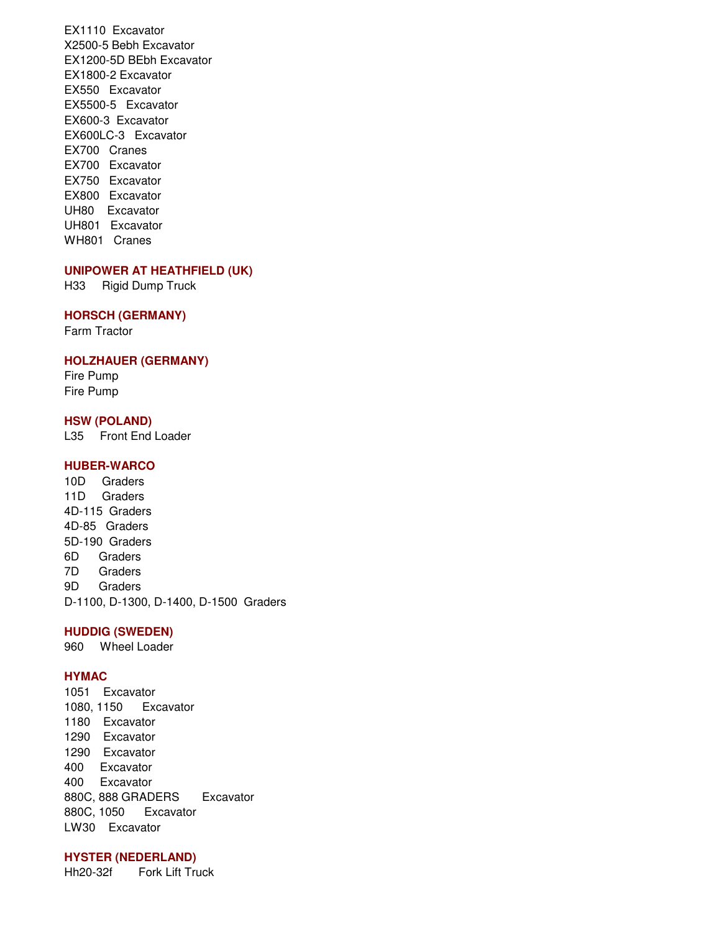EX1110 Excavator X2500-5 Bebh Excavator EX1200-5D BEbh Excavator EX1800-2 Excavator EX550 Excavator EX5500-5 Excavator EX600-3 Excavator EX600LC-3 Excavator EX700 Cranes EX700 Excavator EX750 Excavator EX800 Excavator UH80 Excavator UH801 Excavator WH801 Cranes

#### **UNIPOWER AT HEATHFIELD (UK)**

H33 Rigid Dump Truck

#### **HORSCH (GERMANY)**

Farm Tractor

### **HOLZHAUER (GERMANY)**

Fire Pump Fire Pump

## **HSW (POLAND)**

L35 Front End Loader

## **HUBER-WARCO**

10D Graders 11D Graders 4D-115 Graders 4D-85 Graders 5D-190 Graders 6D Graders 7D Graders 9D Graders D-1100, D-1300, D-1400, D-1500 Graders

### **HUDDIG (SWEDEN)**

960 Wheel Loader

#### **HYMAC**

1051 Excavator 1080, 1150 Excavator 1180 Excavator 1290 Excavator 1290 Excavator 400 Excavator 400 Excavator 880C, 888 GRADERS Excavator 880C, 1050 Excavator LW30 Excavator

#### **HYSTER (NEDERLAND)**

Hh20-32f Fork Lift Truck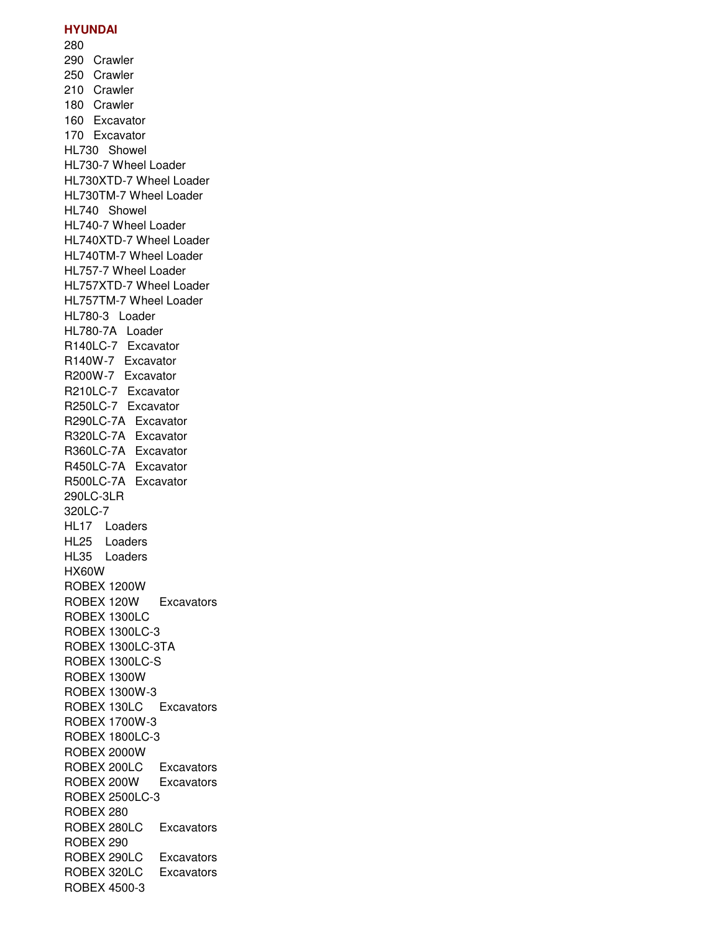#### **HYUNDAI**

280

290 Crawler 250 Crawler 210 Crawler 180 Crawler 160 Excavator 170 Excavator HL730 Showel HL730-7 Wheel Loader HL730XTD-7 Wheel Loader HL730TM-7 Wheel Loader HL740 Showel HL740-7 Wheel Loader HL740XTD-7 Wheel Loader HL740TM-7 Wheel Loader HL757-7 Wheel Loader HL757XTD-7 Wheel Loader HL757TM-7 Wheel Loader HL780-3 Loader HL780-7A Loader R140LC-7 Excavator R140W-7 Excavator R200W-7 Excavator R210LC-7 Excavator R250LC-7 Excavator R290LC-7A Excavator R320LC-7A Excavator R360LC-7A Excavator R450LC-7A Excavator R500LC-7A Excavator 290LC-3LR 320LC-7 HL17 Loaders HL25 Loaders HL35 Loaders HX60W ROBEX 1200W ROBEX 120W Excavators ROBEX 1300LC ROBEX 1300LC-3 ROBEX 1300LC-3TA ROBEX 1300LC-S ROBEX 1300W ROBEX 1300W-3 ROBEX 130LC Excavators ROBEX 1700W-3 ROBEX 1800LC-3 ROBEX 2000W ROBEX 200LC Excavators ROBEX 200W Excavators ROBEX 2500LC-3 ROBEX 280 ROBEX 280LC Excavators ROBEX 290 ROBEX 290LC Excavators ROBEX 320LC Excavators ROBEX 4500-3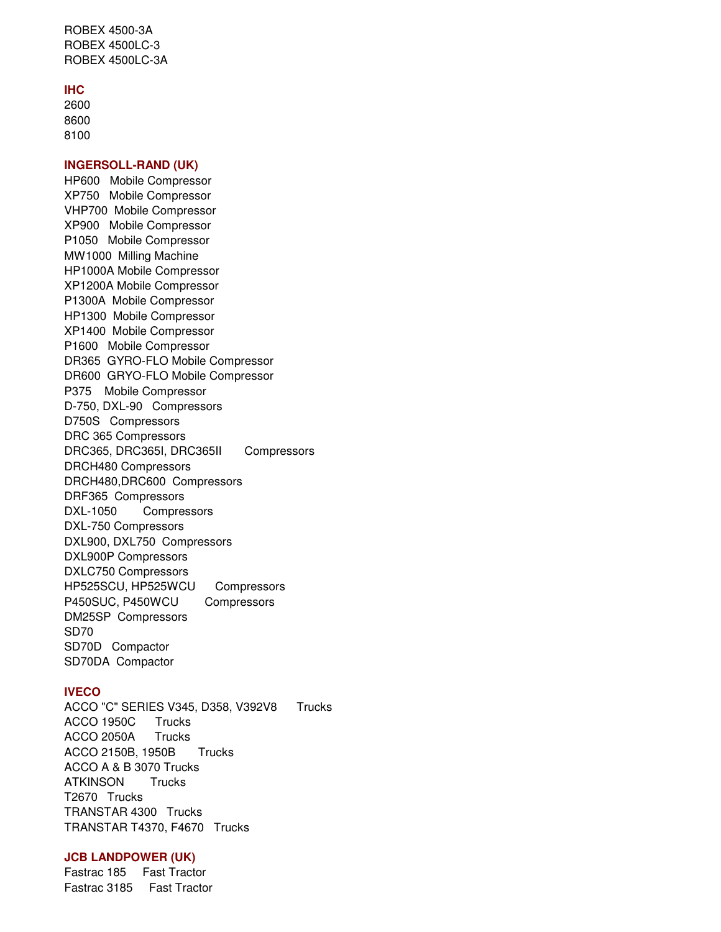ROBEX 4500-3A ROBEX 4500LC-3 ROBEX 4500LC-3A

#### **IHC**

2600 8600 8100

#### **INGERSOLL-RAND (UK)**

HP600 Mobile Compressor XP750 Mobile Compressor VHP700 Mobile Compressor XP900 Mobile Compressor P1050 Mobile Compressor MW1000 Milling Machine HP1000A Mobile Compressor XP1200A Mobile Compressor P1300A Mobile Compressor HP1300 Mobile Compressor XP1400 Mobile Compressor P1600 Mobile Compressor DR365 GYRO-FLO Mobile Compressor DR600 GRYO-FLO Mobile Compressor P375 Mobile Compressor D-750, DXL-90 Compressors D750S Compressors DRC 365 Compressors DRC365, DRC365I, DRC365II Compressors DRCH480 Compressors DRCH480,DRC600 Compressors DRF365 Compressors DXL-1050 Compressors DXL-750 Compressors DXL900, DXL750 Compressors DXL900P Compressors DXLC750 Compressors HP525SCU, HP525WCU Compressors P450SUC, P450WCU Compressors DM25SP Compressors SD70 SD70D Compactor SD70DA Compactor

### **IVECO**

ACCO "C" SERIES V345, D358, V392V8 Trucks ACCO 1950C Trucks ACCO 2050A Trucks ACCO 2150B, 1950B Trucks ACCO A & B 3070 Trucks ATKINSON Trucks T2670 Trucks TRANSTAR 4300 Trucks TRANSTAR T4370, F4670 Trucks

#### **JCB LANDPOWER (UK)**

Fastrac 185 Fast Tractor Fastrac 3185 Fast Tractor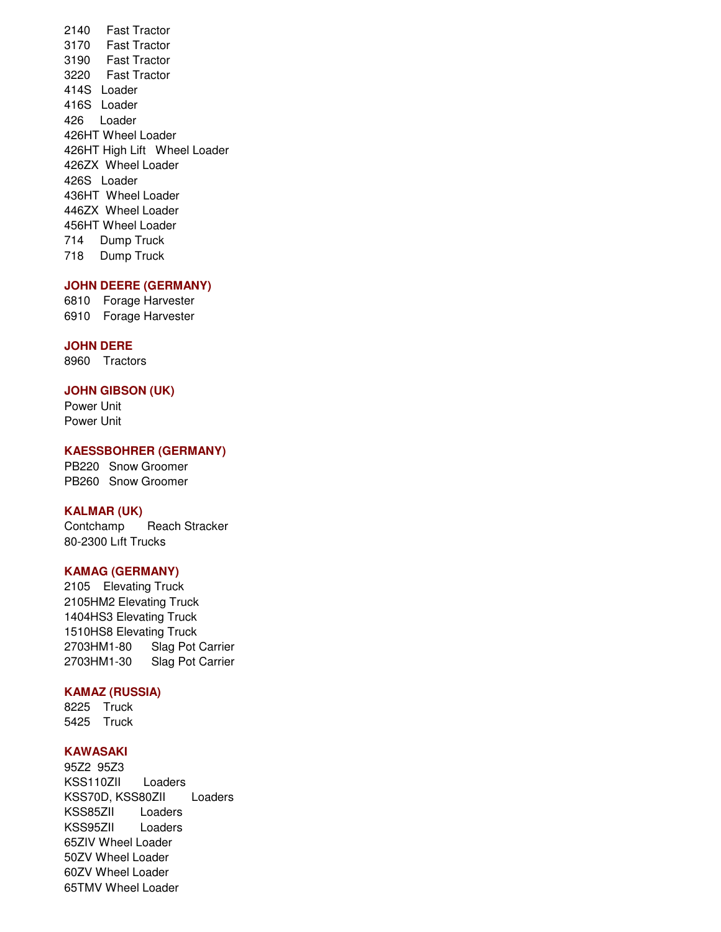2140 Fast Tractor 3170 Fast Tractor 3190 Fast Tractor 3220 Fast Tractor 414S Loader 416S Loader 426 Loader 426HT Wheel Loader 426HT High Lift Wheel Loader 426ZX Wheel Loader 426S Loader 436HT Wheel Loader 446ZX Wheel Loader 456HT Wheel Loader 714 Dump Truck 718 Dump Truck

## **JOHN DEERE (GERMANY)**

6810 Forage Harvester 6910 Forage Harvester

#### **JOHN DERE**

8960 Tractors

#### **JOHN GIBSON (UK)**

Power Unit Power Unit

#### **KAESSBOHRER (GERMANY)**

PB220 Snow Groomer PB260 Snow Groomer

## **KALMAR (UK)**

Contchamp Reach Stracker 80-2300 Lıft Trucks

## **KAMAG (GERMANY)**

2105 Elevating Truck 2105HM2 Elevating Truck 1404HS3 Elevating Truck 1510HS8 Elevating Truck 2703HM1-80 Slag Pot Carrier 2703HM1-30 Slag Pot Carrier

#### **KAMAZ (RUSSIA)**

8225 Truck 5425 Truck

### **KAWASAKI**

95Z2 95Z3 KSS110ZII Loaders KSS70D, KSS80ZII Loaders KSS85ZII Loaders KSS95ZII Loaders 65ZIV Wheel Loader 50ZV Wheel Loader 60ZV Wheel Loader 65TMV Wheel Loader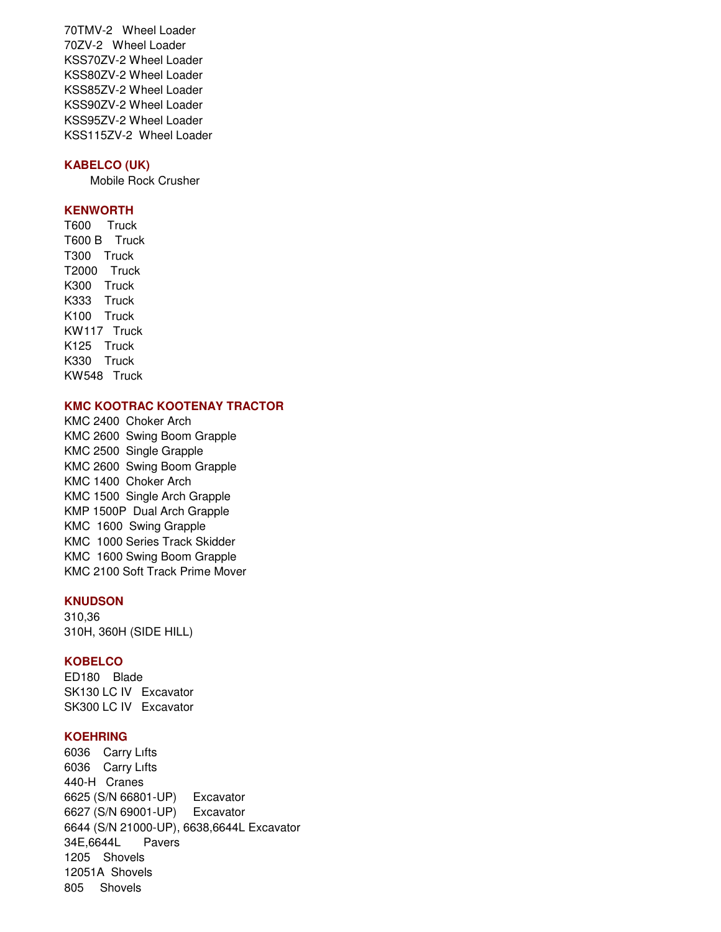70TMV-2 Wheel Loader 70ZV-2 Wheel Loader KSS70ZV-2 Wheel Loader KSS80ZV-2 Wheel Loader KSS85ZV-2 Wheel Loader KSS90ZV-2 Wheel Loader KSS95ZV-2 Wheel Loader KSS115ZV-2 Wheel Loader

# **KABELCO (UK)**

Mobile Rock Crusher

## **KENWORTH**

T600 Truck T600 B Truck T300 Truck T2000 Truck K300 Truck K333 Truck K100 Truck KW117 Truck K125 Truck K330 Truck KW548 Truck

#### **KMC KOOTRAC KOOTENAY TRACTOR**

KMC 2400 Choker Arch KMC 2600 Swing Boom Grapple KMC 2500 Single Grapple KMC 2600 Swing Boom Grapple KMC 1400 Choker Arch KMC 1500 Single Arch Grapple KMP 1500P Dual Arch Grapple KMC 1600 Swing Grapple KMC 1000 Series Track Skidder KMC 1600 Swing Boom Grapple KMC 2100 Soft Track Prime Mover

## **KNUDSON**

310,36 310H, 360H (SIDE HILL)

#### **KOBELCO**

ED180 Blade SK130 LC IV Excavator SK300 LC IV Excavator

## **KOEHRING**

6036 Carry Lıfts 6036 Carry Lıfts 440-H Cranes 6625 (S/N 66801-UP) Excavator 6627 (S/N 69001-UP) Excavator 6644 (S/N 21000-UP), 6638,6644L Excavator 34E,6644L Pavers 1205 Shovels 12051A Shovels 805 Shovels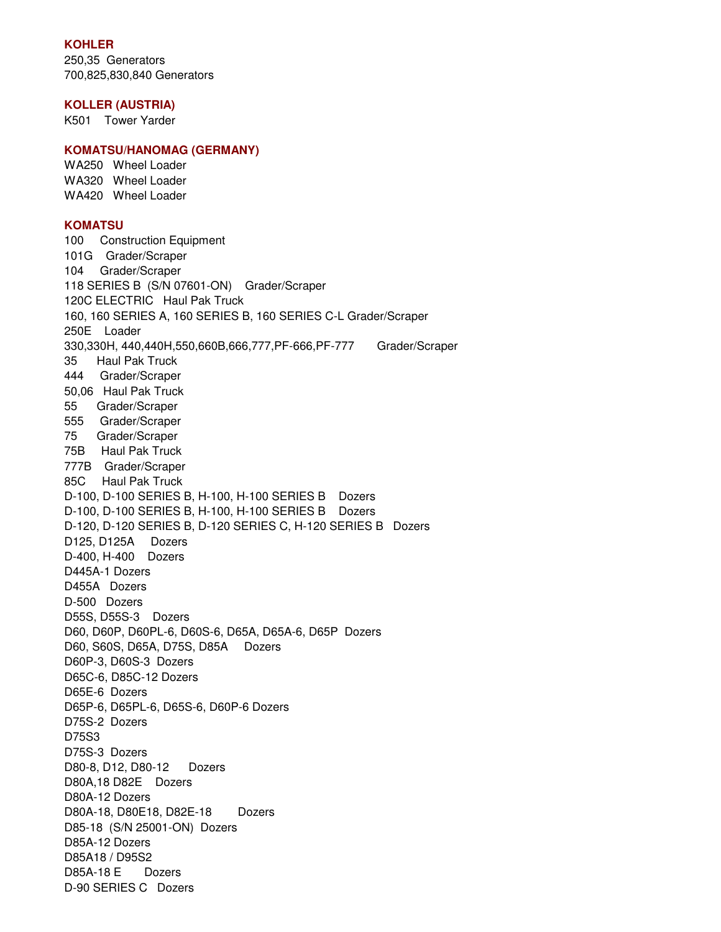## **KOHLER**

250,35 Generators 700,825,830,840 Generators

#### **KOLLER (AUSTRIA)**

K501 Tower Yarder

### **KOMATSU/HANOMAG (GERMANY)**

WA250 Wheel Loader WA320 Wheel Loader WA420 Wheel Loader

### **KOMATSU**

100 Construction Equipment 101G Grader/Scraper 104 Grader/Scraper 118 SERIES B (S/N 07601-ON) Grader/Scraper 120C ELECTRIC Haul Pak Truck 160, 160 SERIES A, 160 SERIES B, 160 SERIES C-L Grader/Scraper 250E Loader 330,330H, 440,440H,550,660B,666,777,PF-666,PF-777 Grader/Scraper 35 Haul Pak Truck 444 Grader/Scraper 50,06 Haul Pak Truck 55 Grader/Scraper 555 Grader/Scraper 75 Grader/Scraper 75B Haul Pak Truck 777B Grader/Scraper 85C Haul Pak Truck D-100, D-100 SERIES B, H-100, H-100 SERIES B Dozers D-100, D-100 SERIES B, H-100, H-100 SERIES B Dozers D-120, D-120 SERIES B, D-120 SERIES C, H-120 SERIES B Dozers D125, D125A Dozers D-400, H-400 Dozers D445A-1 Dozers D455A Dozers D-500 Dozers D55S, D55S-3 Dozers D60, D60P, D60PL-6, D60S-6, D65A, D65A-6, D65P Dozers D60, S60S, D65A, D75S, D85A Dozers D60P-3, D60S-3 Dozers D65C-6, D85C-12 Dozers D65E-6 Dozers D65P-6, D65PL-6, D65S-6, D60P-6 Dozers D75S-2 Dozers D75S3 D75S-3 Dozers D80-8, D12, D80-12 Dozers D80A,18 D82E Dozers D80A-12 Dozers D80A-18, D80E18, D82E-18 Dozers D85-18 (S/N 25001-ON) Dozers D85A-12 Dozers D85A18 / D95S2 D85A-18 E Dozers D-90 SERIES C Dozers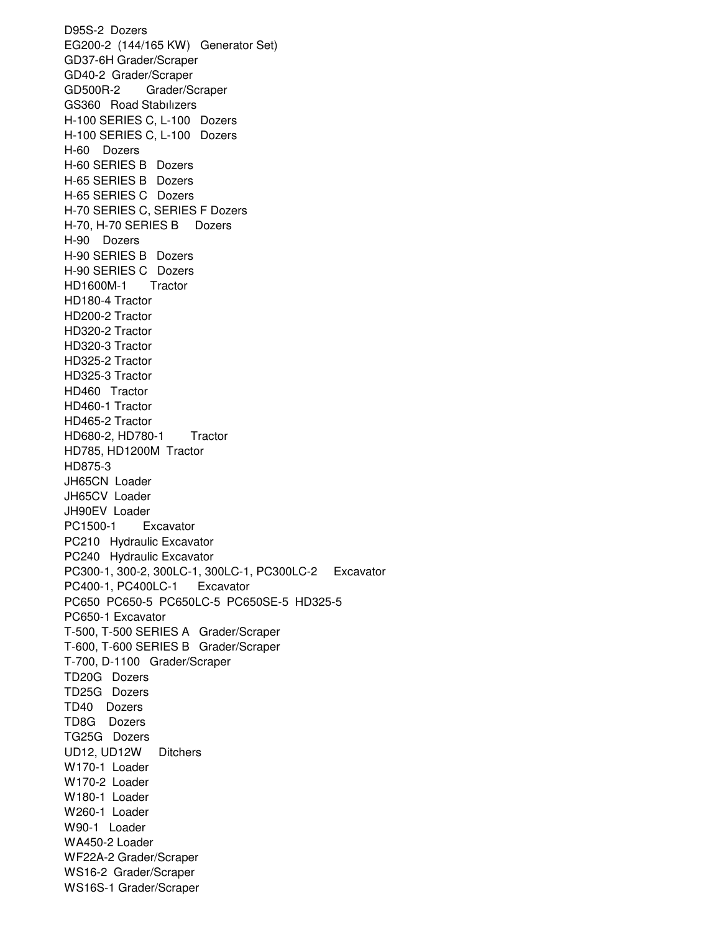D95S-2 Dozers EG200-2 (144/165 KW) Generator Set) GD37-6H Grader/Scraper GD40-2 Grader/Scraper GD500R-2 Grader/Scraper GS360 Road Stabılızers H-100 SERIES C, L-100 Dozers H-100 SERIES C, L-100 Dozers H-60 Dozers H-60 SERIES B Dozers H-65 SERIES B Dozers H-65 SERIES C Dozers H-70 SERIES C, SERIES F Dozers H-70, H-70 SERIES B Dozers H-90 Dozers H-90 SERIES B Dozers H-90 SERIES C Dozers HD1600M-1 Tractor HD180-4 Tractor HD200-2 Tractor HD320-2 Tractor HD320-3 Tractor HD325-2 Tractor HD325-3 Tractor HD460 Tractor HD460-1 Tractor HD465-2 Tractor HD680-2, HD780-1 Tractor HD785, HD1200M Tractor HD875-3 JH65CN Loader JH65CV Loader JH90EV Loader PC1500-1 Excavator PC210 Hydraulic Excavator PC240 Hydraulic Excavator PC300-1, 300-2, 300LC-1, 300LC-1, PC300LC-2 Excavator PC400-1, PC400LC-1 Excavator PC650 PC650-5 PC650LC-5 PC650SE-5 HD325-5 PC650-1 Excavator T-500, T-500 SERIES A Grader/Scraper T-600, T-600 SERIES B Grader/Scraper T-700, D-1100 Grader/Scraper TD20G Dozers TD25G Dozers TD40 Dozers TD8G Dozers TG25G Dozers UD12, UD12W Ditchers W170-1 Loader W170-2 Loader W180-1 Loader W260-1 Loader W90-1 Loader WA450-2 Loader WF22A-2 Grader/Scraper WS16-2 Grader/Scraper WS16S-1 Grader/Scraper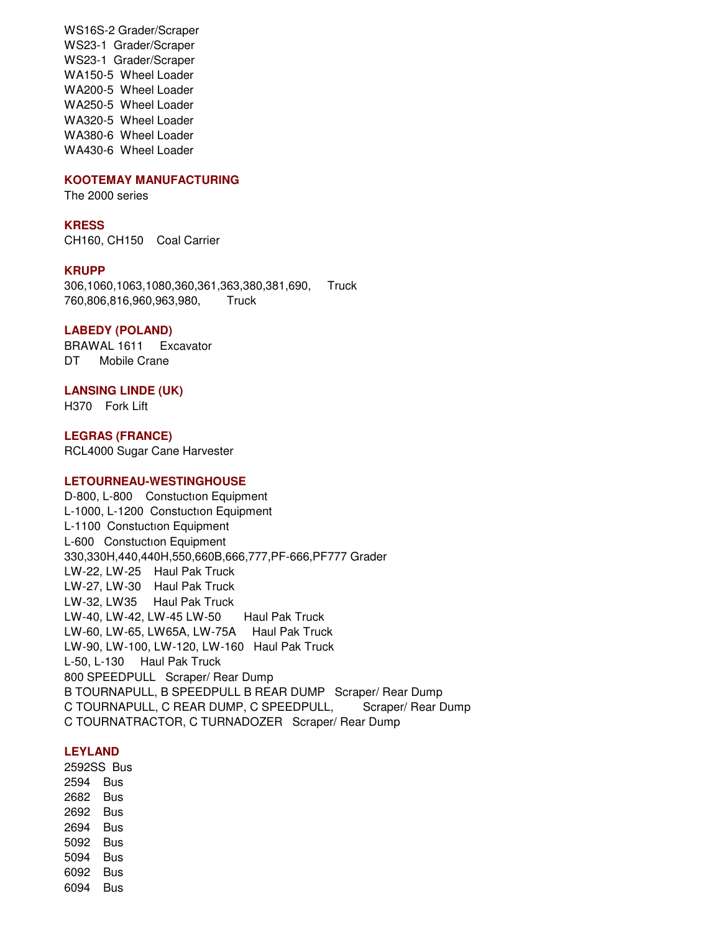WS16S-2 Grader/Scraper WS23-1 Grader/Scraper WS23-1 Grader/Scraper WA150-5 Wheel Loader WA200-5 Wheel Loader WA250-5 Wheel Loader WA320-5 Wheel Loader WA380-6 Wheel Loader WA430-6 Wheel Loader

#### **KOOTEMAY MANUFACTURING**

The 2000 series

#### **KRESS**

CH160, CH150 Coal Carrier

#### **KRUPP**

306,1060,1063,1080,360,361,363,380,381,690, Truck 760,806,816,960,963,980, Truck

#### **LABEDY (POLAND)**

BRAWAL 1611 Excavator DT Mobile Crane

## **LANSING LINDE (UK)**

H370 Fork Lift

**LEGRAS (FRANCE)**  RCL4000 Sugar Cane Harvester

#### **LETOURNEAU-WESTINGHOUSE**

D-800, L-800 Constuctıon Equipment L-1000, L-1200 Constuctıon Equipment L-1100 Constuctıon Equipment L-600 Constuctıon Equipment 330,330H,440,440H,550,660B,666,777,PF-666,PF777 Grader LW-22, LW-25 Haul Pak Truck LW-27, LW-30 Haul Pak Truck LW-32, LW35 Haul Pak Truck LW-40, LW-42, LW-45 LW-50 Haul Pak Truck LW-60, LW-65, LW65A, LW-75A Haul Pak Truck LW-90, LW-100, LW-120, LW-160 Haul Pak Truck L-50, L-130 Haul Pak Truck 800 SPEEDPULL Scraper/ Rear Dump B TOURNAPULL, B SPEEDPULL B REAR DUMP Scraper/ Rear Dump C TOURNAPULL, C REAR DUMP, C SPEEDPULL, Scraper/ Rear Dump C TOURNATRACTOR, C TURNADOZER Scraper/ Rear Dump

#### **LEYLAND**

2592SS Bus 2594 Bus 2682 Bus 2692 Bus 2694 Bus 5092 Bus 5094 Bus 6092 Bus 6094 Bus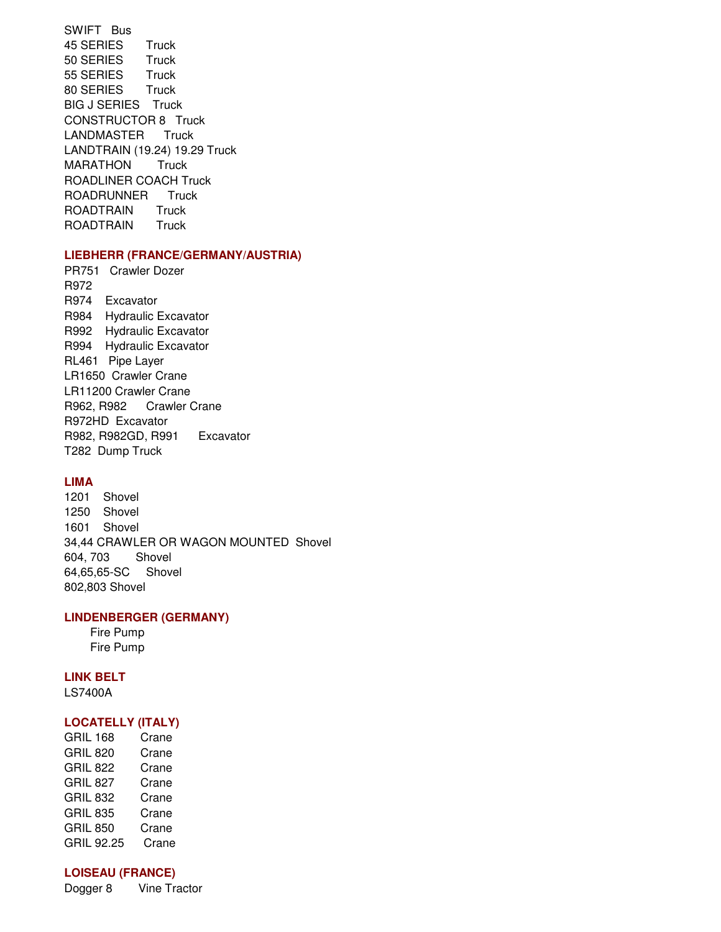SWIFT Bus 45 SERIES Truck 50 SERIES Truck 55 SERIES Truck 80 SERIES Truck BIG J SERIES Truck CONSTRUCTOR 8 Truck LANDMASTER Truck LANDTRAIN (19.24) 19.29 Truck MARATHON Truck ROADLINER COACH Truck ROADRUNNER Truck ROADTRAIN Truck ROADTRAIN Truck

## **LIEBHERR (FRANCE/GERMANY/AUSTRIA)**

PR751 Crawler Dozer R972 R974 Excavator R984 Hydraulic Excavator R992 Hydraulic Excavator R994 Hydraulic Excavator RL461 Pipe Layer LR1650 Crawler Crane LR11200 Crawler Crane R962, R982 Crawler Crane R972HD Excavator R982, R982GD, R991 Excavator T282 Dump Truck

## **LIMA**

1201 Shovel 1250 Shovel 1601 Shovel 34,44 CRAWLER OR WAGON MOUNTED Shovel 604, 703 Shovel 64,65,65-SC Shovel 802,803 Shovel

## **LINDENBERGER (GERMANY)**

 Fire Pump Fire Pump

#### **LINK BELT**

LS7400A

## **LOCATELLY (ITALY)**

GRIL 168 Crane GRIL 820 Crane GRIL 822 Crane GRIL 827 Crane GRIL 832 Crane GRIL 835 Crane GRIL 850 Crane GRIL 92.25 Crane

## **LOISEAU (FRANCE)**

Dogger 8 Vine Tractor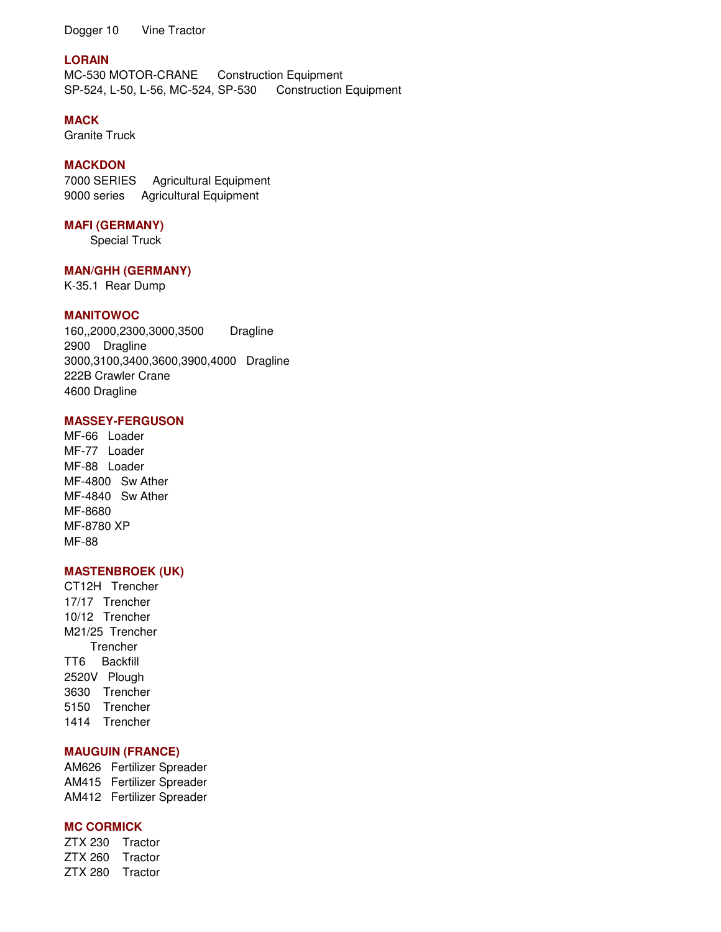Dogger 10 Vine Tractor

## **LORAIN**

MC-530 MOTOR-CRANE Construction Equipment SP-524, L-50, L-56, MC-524, SP-530 Construction Equipment

## **MACK**

Granite Truck

## **MACKDON**

7000 SERIES Agricultural Equipment 9000 series Agricultural Equipment

### **MAFI (GERMANY)**

Special Truck

## **MAN/GHH (GERMANY)**

K-35.1 Rear Dump

### **MANITOWOC**

160,,2000,2300,3000,3500 Dragline 2900 Dragline 3000,3100,3400,3600,3900,4000 Dragline 222B Crawler Crane 4600 Dragline

## **MASSEY-FERGUSON**

MF-66 Loader MF-77 Loader MF-88 Loader MF-4800 Sw Ather MF-4840 Sw Ather MF-8680 MF-8780 XP MF-88

### **MASTENBROEK (UK)**

CT12H Trencher 17/17 Trencher 10/12 Trencher M21/25 Trencher Trencher TT6 Backfill 2520V Plough 3630 Trencher 5150 Trencher 1414 Trencher

## **MAUGUIN (FRANCE)**

AM626 Fertilizer Spreader AM415 Fertilizer Spreader AM412 Fertilizer Spreader

## **MC CORMICK**

ZTX 230 Tractor ZTX 260 Tractor ZTX 280 Tractor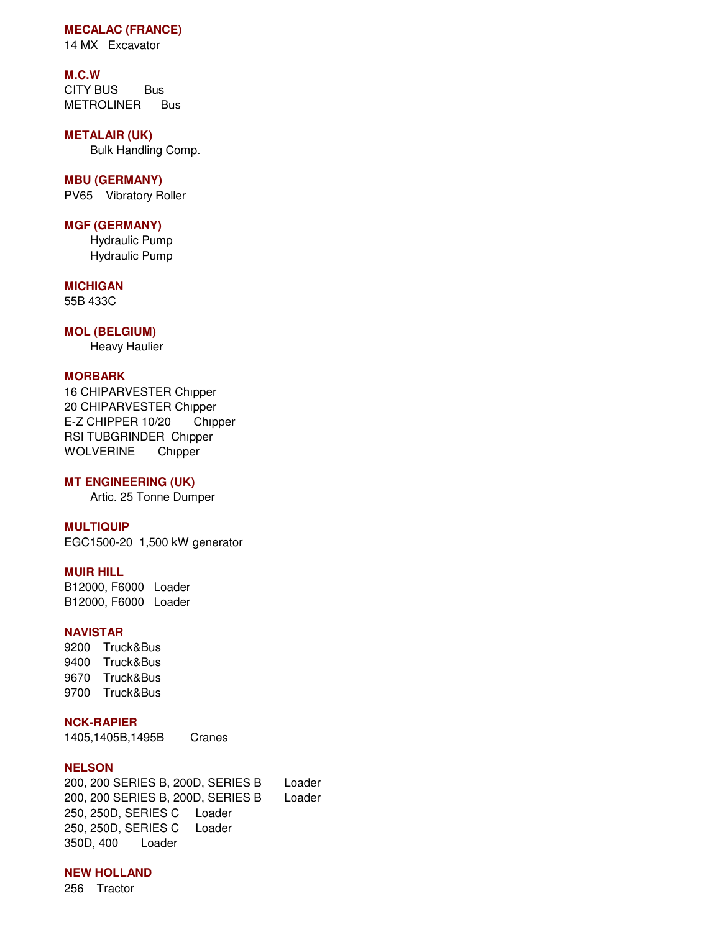## **MECALAC (FRANCE)**

14 MX Excavator

### **M.C.W**

CITY BUS Bus METROLINER Bus

#### **METALAIR (UK)**

Bulk Handling Comp.

## **MBU (GERMANY)**

PV65 Vibratory Roller

### **MGF (GERMANY)**

 Hydraulic Pump Hydraulic Pump

#### 55B 433C **MICHIGAN**

## **MOL (BELGIUM)**

Heavy Haulier

#### **MORBARK**

16 CHIPARVESTER Chıpper 20 CHIPARVESTER Chıpper E-Z CHIPPER 10/20 Chıpper RSI TUBGRINDER Chıpper WOLVERINE Chıpper

### **MT ENGINEERING (UK)**

Artic. 25 Tonne Dumper

### **MULTIQUIP**

EGC1500-20 1,500 kW generator

### **MUIR HILL**

B12000, F6000 Loader B12000, F6000 Loader

## **NAVISTAR**

9200 Truck&Bus 9400 Truck&Bus 9670 Truck&Bus 9700 Truck&Bus

## **NCK-RAPIER**

1405,1405B,1495B Cranes

#### **NELSON**

200, 200 SERIES B, 200D, SERIES B Loader 200, 200 SERIES B, 200D, SERIES B Loader 250, 250D, SERIES C Loader 250, 250D, SERIES C Loader 350D, 400 Loader

## **NEW HOLLAND**

256 Tractor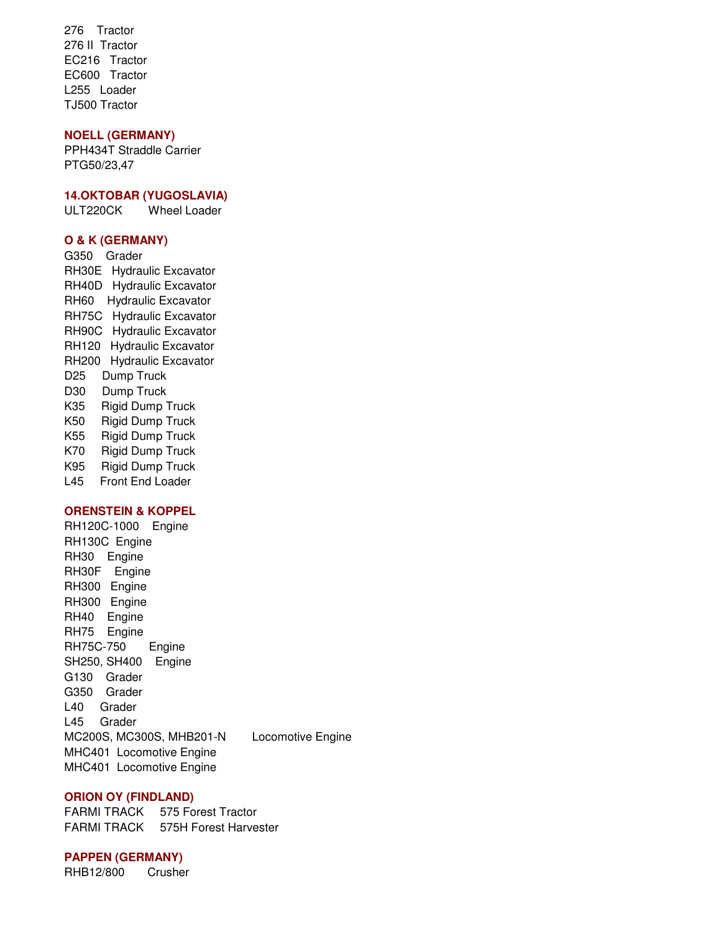276 Tractor 276 II Tractor EC216 Tractor EC600 Tractor L255 Loader TJ500 Tractor

## **NOELL (GERMANY)**

PPH434T Straddle Carrier PTG50/23,47

#### **14.OKTOBAR (YUGOSLAVIA)**

ULT220CK Wheel Loader

### **O & K (GERMANY)**

G350 Grader RH30E Hydraulic Excavator RH40D Hydraulic Excavator RH60 Hydraulic Excavator RH75C Hydraulic Excavator RH90C Hydraulic Excavator RH120 Hydraulic Excavator RH200 Hydraulic Excavator D25 Dump Truck D30 Dump Truck K35 Rigid Dump Truck K50 Rigid Dump Truck K55 Rigid Dump Truck K70 Rigid Dump Truck K95 Rigid Dump Truck L45 Front End Loader

## **ORENSTEIN & KOPPEL**

RH120C-1000 Engine RH130C Engine RH30 Engine RH30F Engine RH300 Engine RH300 Engine RH40 Engine RH75 Engine RH75C-750 Engine SH250, SH400 Engine G130 Grader G350 Grader L40 Grader L45 Grader MC200S, MC300S, MHB201-N Locomotive Engine MHC401 Locomotive Engine MHC401 Locomotive Engine

### **ORION OY (FINDLAND)**

FARMI TRACK 575 Forest Tractor FARMI TRACK 575H Forest Harvester

#### **PAPPEN (GERMANY)**

RHB12/800 Crusher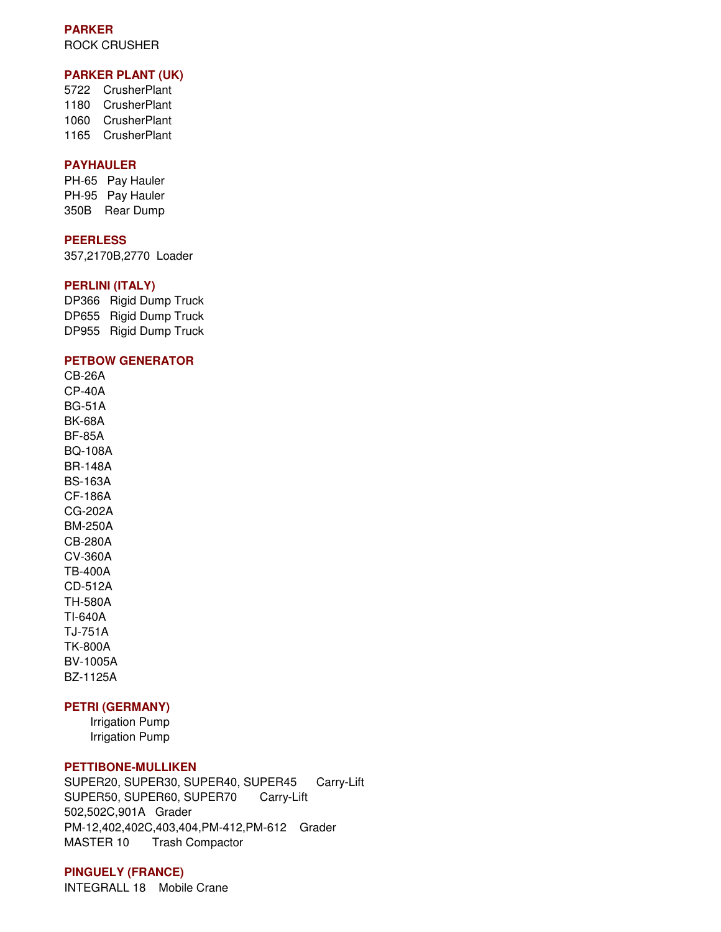## **PARKER**  ROCK CRUSHER

## **PARKER PLANT (UK)**

5722 CrusherPlant 1180 CrusherPlant 1060 CrusherPlant 1165 CrusherPlant

#### **PAYHAULER**

PH-65 Pay Hauler PH-95 Pay Hauler 350B Rear Dump

## **PEERLESS**

357,2170B,2770 Loader

#### **PERLINI (ITALY)**

DP366 Rigid Dump Truck DP655 Rigid Dump Truck DP955 Rigid Dump Truck

### **PETBOW GENERATOR**

CB-26A CP-40A BG-51A BK-68A BF-85A BQ-108A BR-148A BS-163A CF-186A CG-202A BM-250A CB-280A CV-360A TB-400A CD-512A TH-580A TI-640A TJ-751A TK-800A BV-1005A BZ-1125A

# **PETRI (GERMANY)**

 Irrigation Pump Irrigation Pump

#### **PETTIBONE-MULLIKEN**

SUPER20, SUPER30, SUPER40, SUPER45 Carry-Lift SUPER50, SUPER60, SUPER70 Carry-Lift 502,502C,901A Grader PM-12,402,402C,403,404,PM-412,PM-612 Grader MASTER 10 Trash Compactor

#### **PINGUELY (FRANCE)**

INTEGRALL 18 Mobile Crane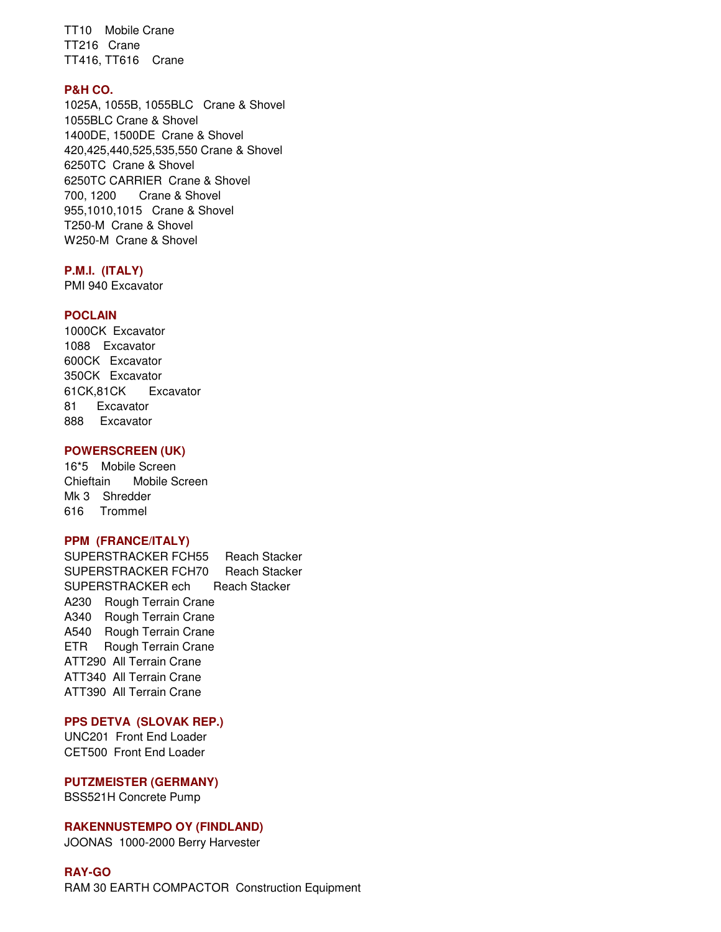TT10 Mobile Crane TT216 Crane TT416, TT616 Crane

### **P&H CO.**

1025A, 1055B, 1055BLC Crane & Shovel 1055BLC Crane & Shovel 1400DE, 1500DE Crane & Shovel 420,425,440,525,535,550 Crane & Shovel 6250TC Crane & Shovel 6250TC CARRIER Crane & Shovel 700, 1200 Crane & Shovel 955,1010,1015 Crane & Shovel T250-M Crane & Shovel W250-M Crane & Shovel

#### **P.M.I. (ITALY)**

PMI 940 Excavator

### **POCLAIN**

1000CK Excavator 1088 Excavator 600CK Excavator 350CK Excavator 61CK,81CK Excavator 81 Excavator 888 Excavator

### **POWERSCREEN (UK)**

16\*5 Mobile Screen Chieftain Mobile Screen Mk 3 Shredder 616 Trommel

### **PPM (FRANCE/ITALY)**

SUPERSTRACKER FCH55 Reach Stacker SUPERSTRACKER FCH70 Reach Stacker SUPERSTRACKER ech Reach Stacker A230 Rough Terrain Crane A340 Rough Terrain Crane A540 Rough Terrain Crane ETR Rough Terrain Crane ATT290 All Terrain Crane ATT340 All Terrain Crane ATT390 All Terrain Crane

#### **PPS DETVA (SLOVAK REP.)**

UNC201 Front End Loader CET500 Front End Loader

### **PUTZMEISTER (GERMANY)**

BSS521H Concrete Pump

#### **RAKENNUSTEMPO OY (FINDLAND)**

JOONAS 1000-2000 Berry Harvester

# **RAY-GO**

RAM 30 EARTH COMPACTOR Construction Equipment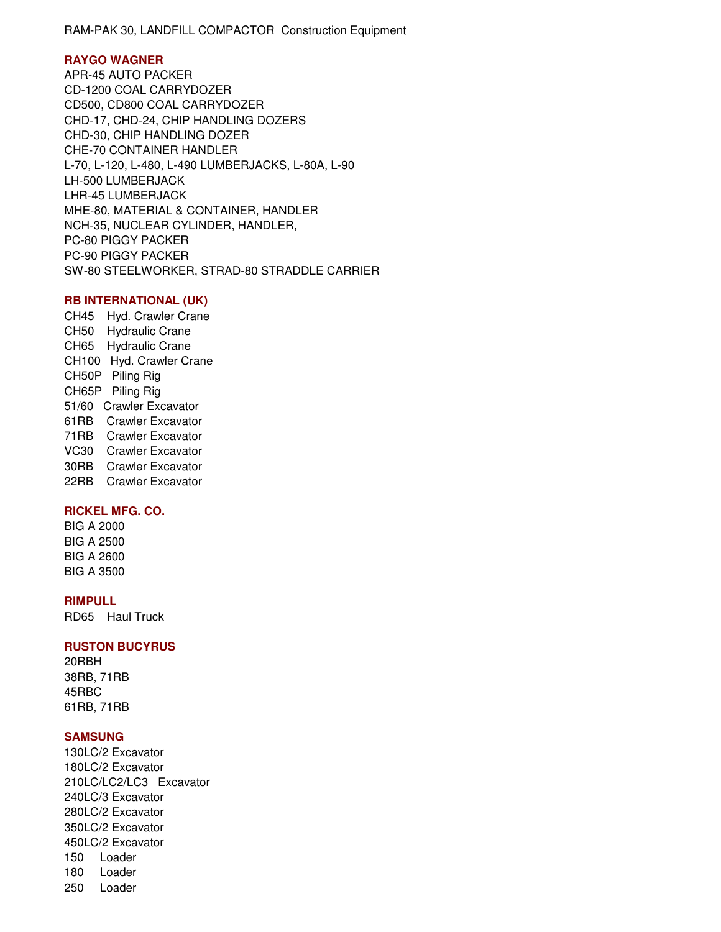RAM-PAK 30, LANDFILL COMPACTOR Construction Equipment

### **RAYGO WAGNER**

APR-45 AUTO PACKER CD-1200 COAL CARRYDOZER CD500, CD800 COAL CARRYDOZER CHD-17, CHD-24, CHIP HANDLING DOZERS CHD-30, CHIP HANDLING DOZER CHE-70 CONTAINER HANDLER L-70, L-120, L-480, L-490 LUMBERJACKS, L-80A, L-90 LH-500 LUMBERJACK LHR-45 LUMBERJACK MHE-80, MATERIAL & CONTAINER, HANDLER NCH-35, NUCLEAR CYLINDER, HANDLER, PC-80 PIGGY PACKER PC-90 PIGGY PACKER SW-80 STEELWORKER, STRAD-80 STRADDLE CARRIER

#### **RB INTERNATIONAL (UK)**

CH45 Hyd. Crawler Crane CH50 Hydraulic Crane CH65 Hydraulic Crane CH100 Hyd. Crawler Crane CH50P Piling Rig CH65P Piling Rig 51/60 Crawler Excavator 61RB Crawler Excavator 71RB Crawler Excavator VC30 Crawler Excavator 30RB Crawler Excavator 22RB Crawler Excavator

## **RICKEL MFG. CO.**

BIG A 2000 BIG A 2500 BIG A 2600 BIG A 3500

### **RIMPULL**

RD65 Haul Truck

#### **RUSTON BUCYRUS**

20RBH 38RB, 71RB 45RBC 61RB, 71RB

## **SAMSUNG**

130LC/2 Excavator 180LC/2 Excavator 210LC/LC2/LC3 Excavator 240LC/3 Excavator 280LC/2 Excavator 350LC/2 Excavator 450LC/2 Excavator 150 Loader 180 Loader 250 Loader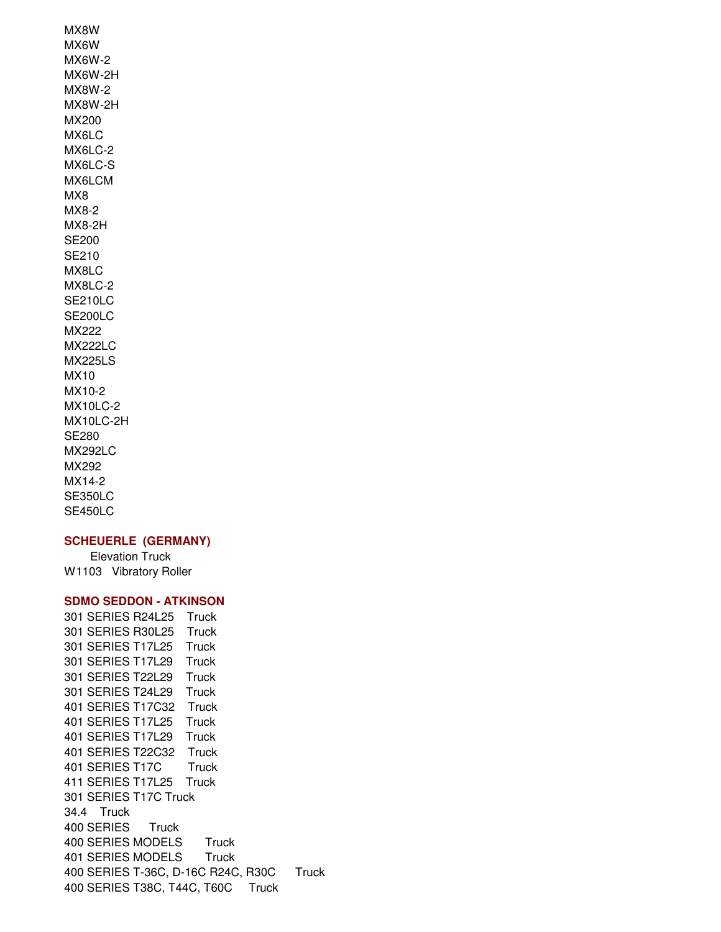MX8W MX6W MX6W-2 MX6W-2H MX8W-2 MX8W-2H MX200 MX6LC MX6LC-2 MX6LC-S MX6LCM MX8 MX8-2 MX8-2H SE200 SE210 MX8LC MX8LC-2 SE210LC SE200LC MX222 MX222LC MX225LS MX10 MX10-2 MX10LC-2 MX10LC-2H SE280 MX292LC MX292 MX14-2 SE350LC SE450LC

#### **SCHEUERLE (GERMANY)**

 Elevation Truck W1103 Vibratory Roller

## **SDMO SEDDON - ATKINSON**

301 SERIES R24L25 Truck 301 SERIES R30L25 Truck 301 SERIES T17L25 Truck 301 SERIES T17L29 Truck 301 SERIES T22L29 Truck 301 SERIES T24L29 Truck 401 SERIES T17C32 Truck 401 SERIES T17L25 Truck 401 SERIES T17L29 Truck 401 SERIES T22C32 Truck 401 SERIES T17C Truck 411 SERIES T17L25 Truck 301 SERIES T17C Truck 34.4 Truck 400 SERIES Truck 400 SERIES MODELS Truck 401 SERIES MODELS Truck 400 SERIES T-36C, D-16C R24C, R30C Truck 400 SERIES T38C, T44C, T60C Truck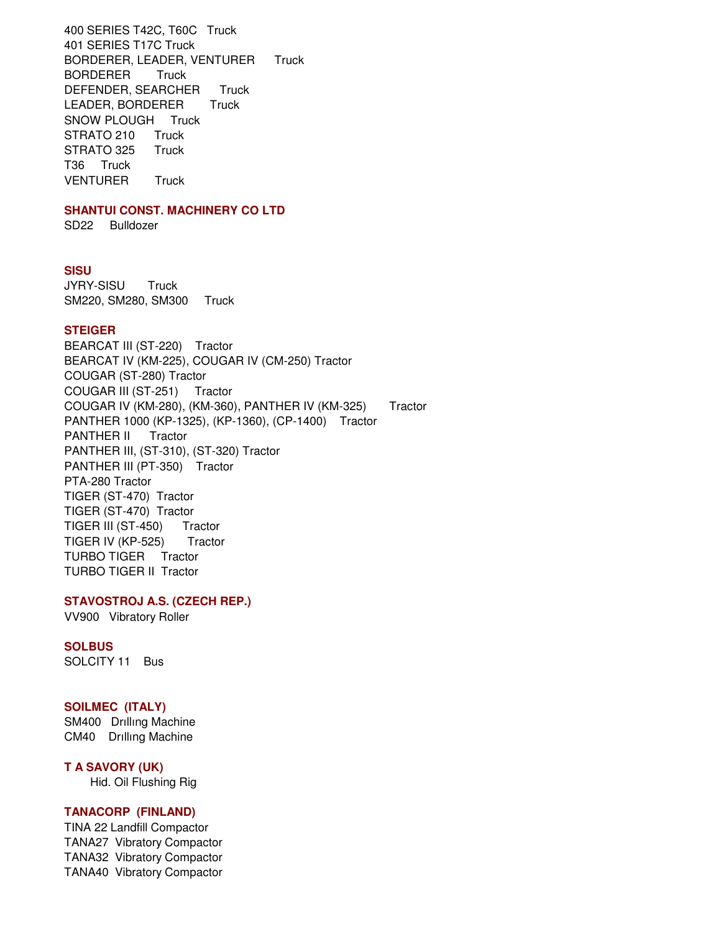400 SERIES T42C, T60C Truck 401 SERIES T17C Truck BORDERER, LEADER, VENTURER Truck BORDERER Truck DEFENDER, SEARCHER Truck LEADER, BORDERER Truck SNOW PLOUGH Truck STRATO 210 Truck STRATO 325 Truck T36 Truck VENTURER Truck

## **SHANTUI CONST. MACHINERY CO LTD**

SD22 Bulldozer

#### **SISU**

JYRY-SISU Truck SM220, SM280, SM300 Truck

#### **STEIGER**

BEARCAT III (ST-220) Tractor BEARCAT IV (KM-225), COUGAR IV (CM-250) Tractor COUGAR (ST-280) Tractor COUGAR III (ST-251) Tractor COUGAR IV (KM-280), (KM-360), PANTHER IV (KM-325) Tractor PANTHER 1000 (KP-1325), (KP-1360), (CP-1400) Tractor PANTHER II Tractor PANTHER III, (ST-310), (ST-320) Tractor PANTHER III (PT-350) Tractor PTA-280 Tractor TIGER (ST-470) Tractor TIGER (ST-470) Tractor TIGER III (ST-450) Tractor TIGER IV (KP-525) Tractor TURBO TIGER Tractor TURBO TIGER II Tractor

## **STAVOSTROJ A.S. (CZECH REP.)**

VV900 Vibratory Roller

## **SOLBUS**

SOLCITY 11 Bus

#### **SOILMEC (ITALY)**

SM400 Drıllıng Machine CM40 Drıllıng Machine

#### **T A SAVORY (UK)**

Hid. Oil Flushing Rig

## **TANACORP (FINLAND)**

TINA 22 Landfill Compactor TANA27 Vibratory Compactor TANA32 Vibratory Compactor TANA40 Vibratory Compactor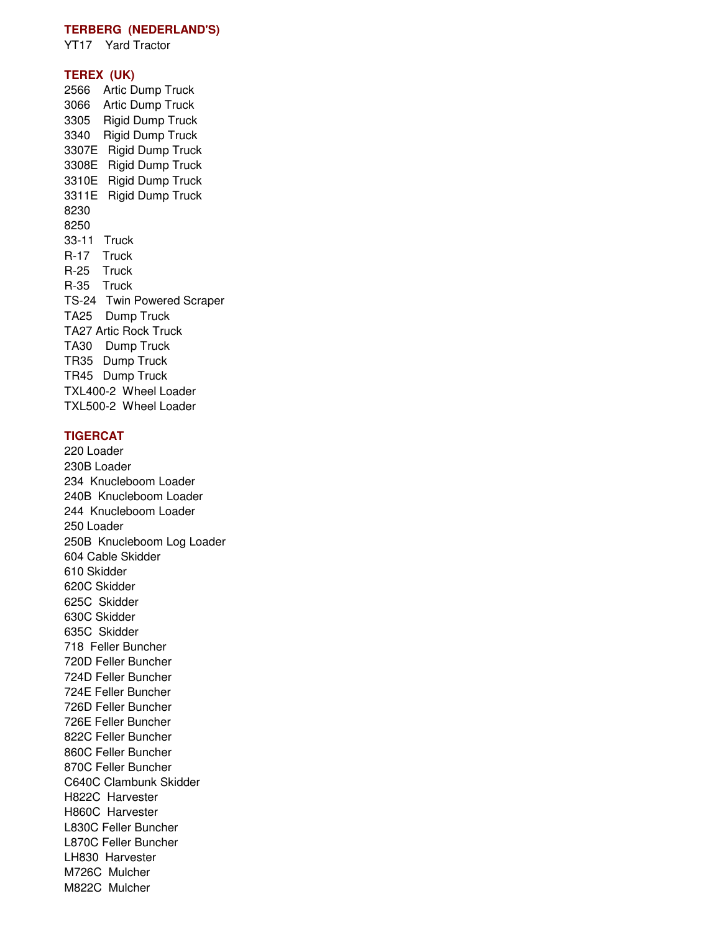## **TERBERG (NEDERLAND'S)**

YT17 Yard Tractor

#### **TEREX (UK)**

2566 Artic Dump Truck 3066 Artic Dump Truck 3305 Rigid Dump Truck 3340 Rigid Dump Truck 3307E Rigid Dump Truck 3308E Rigid Dump Truck 3310E Rigid Dump Truck 3311E Rigid Dump Truck 8230 8250 33-11 Truck R-17 Truck R-25 Truck R-35 Truck TS-24 Twin Powered Scraper TA25 Dump Truck TA27 Artic Rock Truck TA30 Dump Truck TR35 Dump Truck TR45 Dump Truck TXL400-2 Wheel Loader TXL500-2 Wheel Loader

## **TIGERCAT**

220 Loader 230B Loader 234 Knucleboom Loader 240B Knucleboom Loader 244 Knucleboom Loader 250 Loader 250B Knucleboom Log Loader 604 Cable Skidder 610 Skidder 620C Skidder 625C Skidder 630C Skidder 635C Skidder 718 Feller Buncher 720D Feller Buncher 724D Feller Buncher 724E Feller Buncher 726D Feller Buncher 726E Feller Buncher 822C Feller Buncher 860C Feller Buncher 870C Feller Buncher C640C Clambunk Skidder H822C Harvester H860C Harvester L830C Feller Buncher L870C Feller Buncher LH830 Harvester M726C Mulcher M822C Mulcher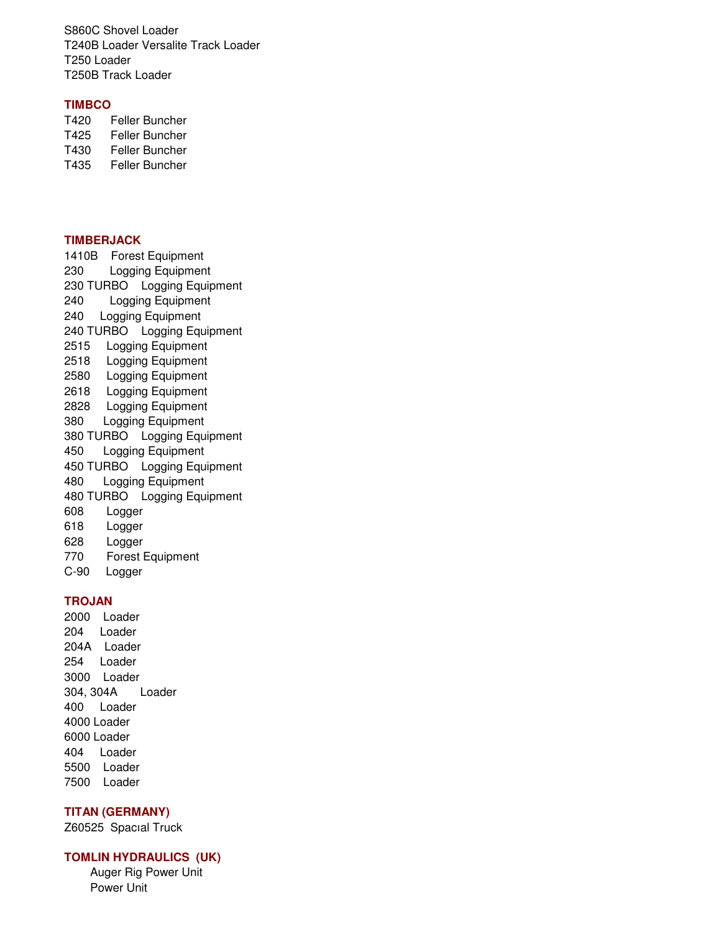S860C Shovel Loader T240B Loader Versalite Track Loader T250 Loader T250B Track Loader

## **TIMBCO**

T420 Feller Buncher T425 Feller Buncher T430 Feller Buncher T435 Feller Buncher

## **TIMBERJACK**

1410B Forest Equipment 230 Logging Equipment 230 TURBO Logging Equipment 240 Logging Equipment 240 Logging Equipment 240 TURBO Logging Equipment 2515 Logging Equipment 2518 Logging Equipment 2580 Logging Equipment 2618 Logging Equipment 2828 Logging Equipment 380 Logging Equipment 380 TURBO Logging Equipment 450 Logging Equipment 450 TURBO Logging Equipment 480 Logging Equipment 480 TURBO Logging Equipment 608 Logger 618 Logger 628 Logger 770 Forest Equipment C-90 Logger

## **TROJAN**

2000 Loader 204 Loader 204A Loader 254 Loader 3000 Loader 304, 304A Loader 400 Loader 4000 Loader 6000 Loader 404 Loader 5500 Loader 7500 Loader

### **TITAN (GERMANY)**

Z60525 Spacıal Truck

#### **TOMLIN HYDRAULICS (UK)**

 Auger Rig Power Unit Power Unit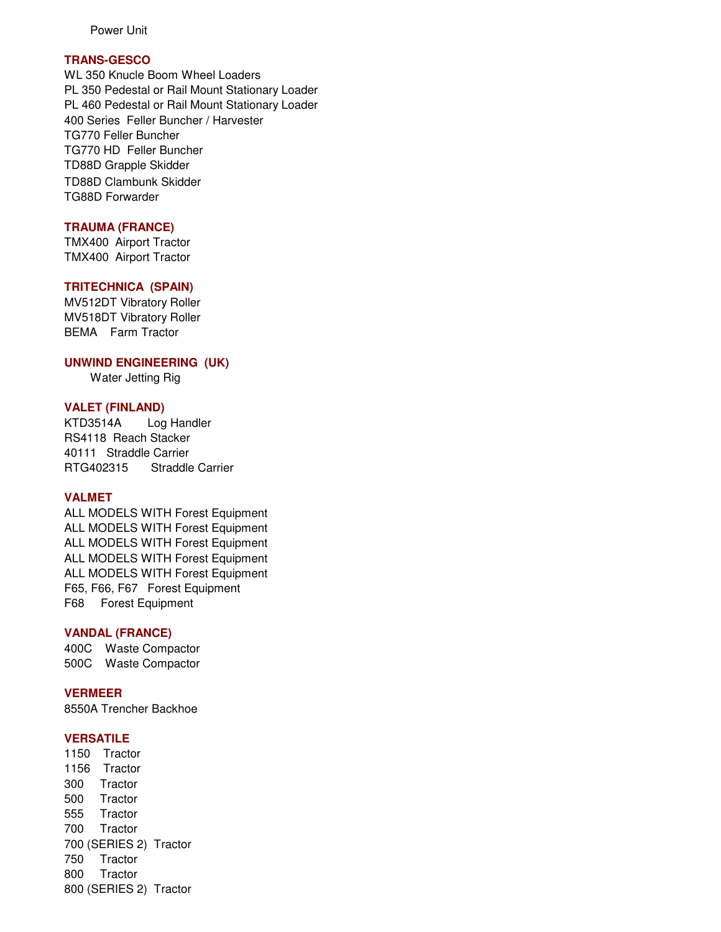Power Unit

## **TRANS-GESCO**

WL 350 Knucle Boom Wheel Loaders PL 350 Pedestal or Rail Mount Stationary Loader PL 460 Pedestal or Rail Mount Stationary Loader 400 Series Feller Buncher / Harvester TG770 Feller Buncher TG770 HD Feller Buncher TD88D Grapple Skidder TD88D Clambunk Skidder TG88D Forwarder

## **TRAUMA (FRANCE)**

TMX400 Airport Tractor TMX400 Airport Tractor

### **TRITECHNICA (SPAIN)**

MV512DT Vibratory Roller MV518DT Vibratory Roller BEMA Farm Tractor

## **UNWIND ENGINEERING (UK)**

Water Jetting Rig

### **VALET (FINLAND)**

KTD3514A Log Handler RS4118 Reach Stacker 40111 Straddle Carrier RTG402315 Straddle Carrier

## **VALMET**

ALL MODELS WITH Forest Equipment ALL MODELS WITH Forest Equipment ALL MODELS WITH Forest Equipment ALL MODELS WITH Forest Equipment ALL MODELS WITH Forest Equipment F65, F66, F67 Forest Equipment F68 Forest Equipment

### **VANDAL (FRANCE)**

400C Waste Compactor 500C Waste Compactor

#### **VERMEER**

8550A Trencher Backhoe

### **VERSATILE**

1150 Tractor 1156 Tractor 300 Tractor 500 Tractor 555 Tractor 700 Tractor 700 (SERIES 2) Tractor 750 Tractor 800 Tractor 800 (SERIES 2) Tractor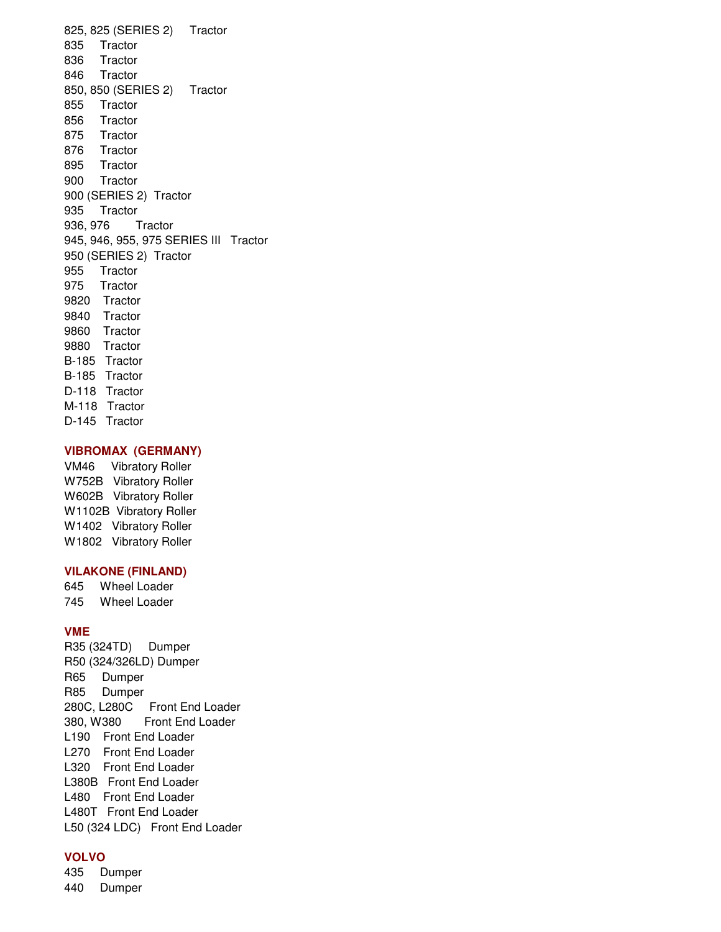825, 825 (SERIES 2) Tractor 835 Tractor 836 Tractor 846 Tractor 850, 850 (SERIES 2) Tractor 855 Tractor 856 Tractor 875 Tractor 876 Tractor 895 Tractor 900 Tractor 900 (SERIES 2) Tractor 935 Tractor 936, 976 Tractor 945, 946, 955, 975 SERIES III Tractor 950 (SERIES 2) Tractor 955 Tractor 975 Tractor 9820 Tractor 9840 Tractor 9860 Tractor 9880 Tractor B-185 Tractor B-185 Tractor D-118 Tractor M-118 Tractor D-145 Tractor

#### **VIBROMAX (GERMANY)**

VM46 Vibratory Roller W752B Vibratory Roller W602B Vibratory Roller W1102B Vibratory Roller W1402 Vibratory Roller W1802 Vibratory Roller

### **VILAKONE (FINLAND)**

645 Wheel Loader 745 Wheel Loader

#### **VME**

R35 (324TD) Dumper R50 (324/326LD) Dumper R65 Dumper R85 Dumper 280C, L280C Front End Loader 380, W380 Front End Loader L190 Front End Loader L270 Front End Loader L320 Front End Loader L380B Front End Loader L480 Front End Loader L480T Front End Loader L50 (324 LDC) Front End Loader

#### **VOLVO**

435 Dumper 440 Dumper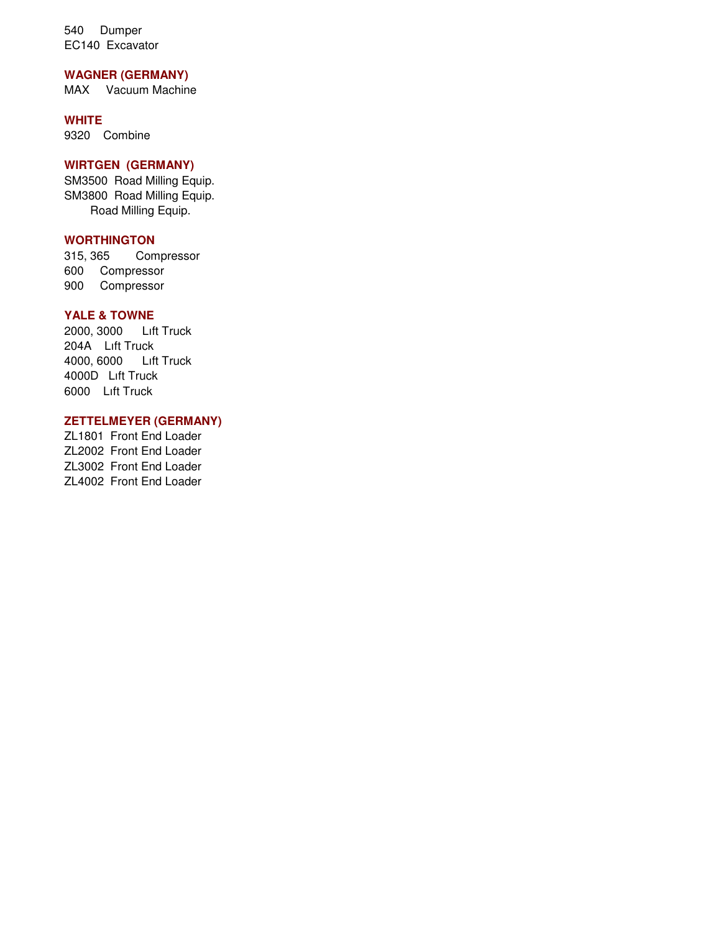540 Dumper EC140 Excavator

## **WAGNER (GERMANY)**

MAX Vacuum Machine

## **WHITE**

9320 Combine

## **WIRTGEN (GERMANY)**

SM3500 Road Milling Equip. SM3800 Road Milling Equip. Road Milling Equip.

# **WORTHINGTON**

315, 365 Compressor 600 Compressor 900 Compressor

## **YALE & TOWNE**

2000, 3000 Lıft Truck 204A Lıft Truck 4000, 6000 Lıft Truck 4000D Lıft Truck 6000 Lıft Truck

## **ZETTELMEYER (GERMANY)**

ZL1801 Front End Loader ZL2002 Front End Loader ZL3002 Front End Loader ZL4002 Front End Loader